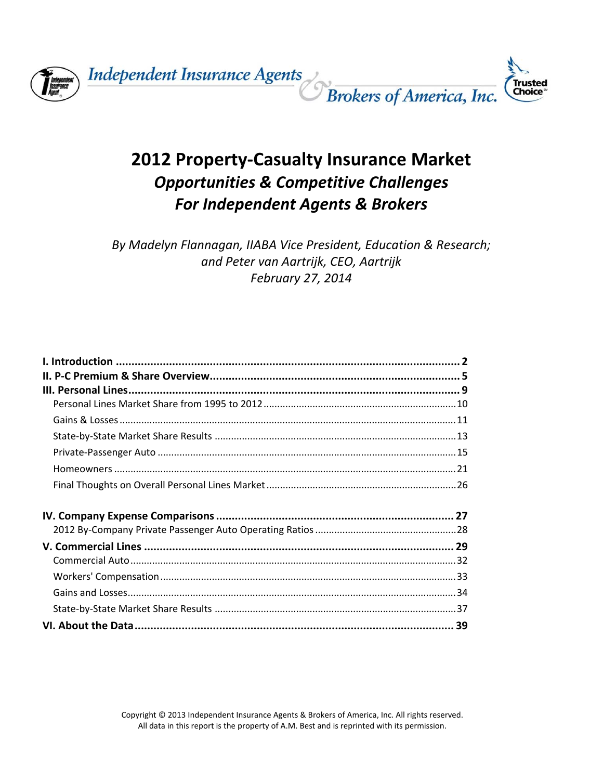

**Independent Insurance Agents** 



# **2012 Property‐Casualty Insurance Market** *Opportunities & Competitive Challenges For Independent Agents & Brokers*

*By Madelyn Flannagan, IIABA Vice President, Education & Research; and Peter van Aartrijk, CEO, Aartrijk February 27, 2014*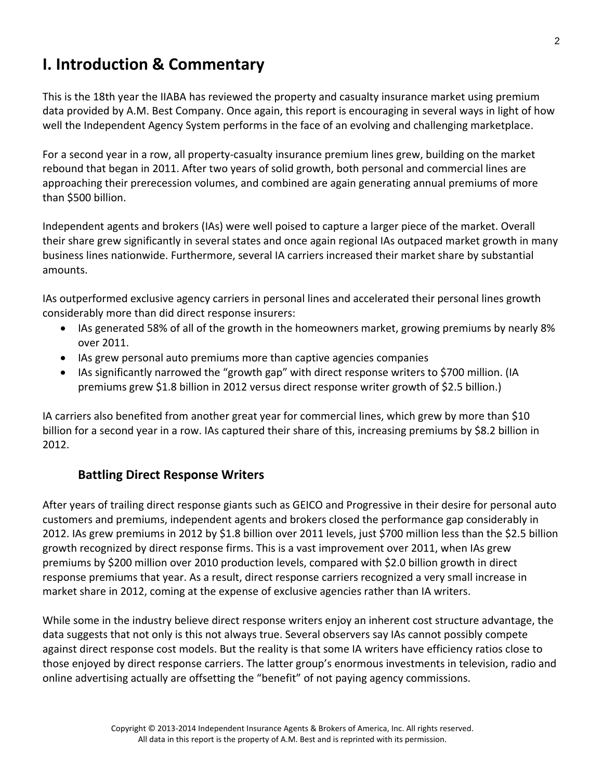# **I. Introduction & Commentary**

This is the 18th year the IIABA has reviewed the property and casualty insurance market using premium data provided by A.M. Best Company. Once again, this report is encouraging in several ways in light of how well the Independent Agency System performs in the face of an evolving and challenging marketplace.

For a second year in a row, all property‐casualty insurance premium lines grew, building on the market rebound that began in 2011. After two years of solid growth, both personal and commercial lines are approaching their prerecession volumes, and combined are again generating annual premiums of more than \$500 billion.

Independent agents and brokers (IAs) were well poised to capture a larger piece of the market. Overall their share grew significantly in several states and once again regional IAs outpaced market growth in many business lines nationwide. Furthermore, several IA carriers increased their market share by substantial amounts.

IAs outperformed exclusive agency carriers in personal lines and accelerated their personal lines growth considerably more than did direct response insurers:

- IAs generated 58% of all of the growth in the homeowners market, growing premiums by nearly 8% over 2011.
- IAs grew personal auto premiums more than captive agencies companies
- IAs significantly narrowed the "growth gap" with direct response writers to \$700 million. (IA premiums grew \$1.8 billion in 2012 versus direct response writer growth of \$2.5 billion.)

IA carriers also benefited from another great year for commercial lines, which grew by more than \$10 billion for a second year in a row. IAs captured their share of this, increasing premiums by \$8.2 billion in 2012.

# **Battling Direct Response Writers**

After years of trailing direct response giants such as GEICO and Progressive in their desire for personal auto customers and premiums, independent agents and brokers closed the performance gap considerably in 2012. IAs grew premiums in 2012 by \$1.8 billion over 2011 levels, just \$700 million less than the \$2.5 billion growth recognized by direct response firms. This is a vast improvement over 2011, when IAs grew premiums by \$200 million over 2010 production levels, compared with \$2.0 billion growth in direct response premiums that year. As a result, direct response carriers recognized a very small increase in market share in 2012, coming at the expense of exclusive agencies rather than IA writers.

While some in the industry believe direct response writers enjoy an inherent cost structure advantage, the data suggests that not only is this not always true. Several observers say IAs cannot possibly compete against direct response cost models. But the reality is that some IA writers have efficiency ratios close to those enjoyed by direct response carriers. The latter group's enormous investments in television, radio and online advertising actually are offsetting the "benefit" of not paying agency commissions.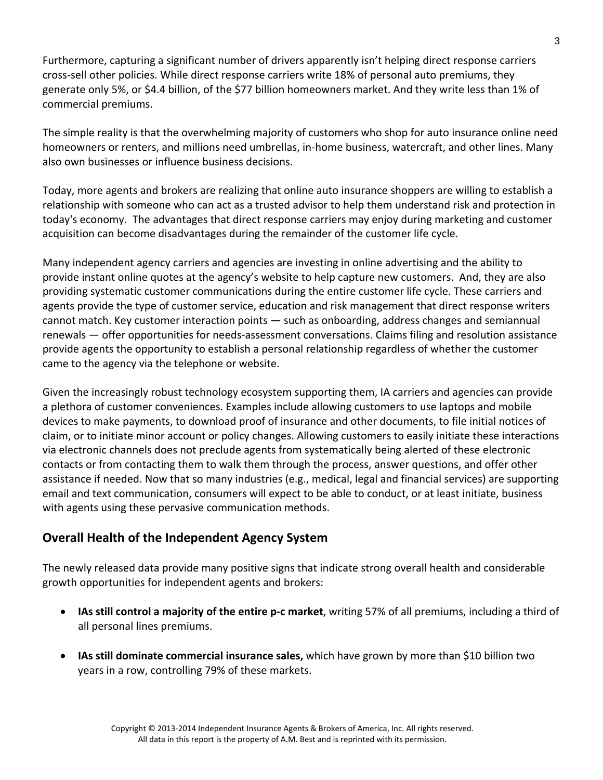Furthermore, capturing a significant number of drivers apparently isn't helping direct response carriers cross‐sell other policies. While direct response carriers write 18% of personal auto premiums, they generate only 5%, or \$4.4 billion, of the \$77 billion homeowners market. And they write less than 1% of commercial premiums.

The simple reality is that the overwhelming majority of customers who shop for auto insurance online need homeowners or renters, and millions need umbrellas, in‐home business, watercraft, and other lines. Many also own businesses or influence business decisions.

Today, more agents and brokers are realizing that online auto insurance shoppers are willing to establish a relationship with someone who can act as a trusted advisor to help them understand risk and protection in today's economy. The advantages that direct response carriers may enjoy during marketing and customer acquisition can become disadvantages during the remainder of the customer life cycle.

Many independent agency carriers and agencies are investing in online advertising and the ability to provide instant online quotes at the agency's website to help capture new customers. And, they are also providing systematic customer communications during the entire customer life cycle. These carriers and agents provide the type of customer service, education and risk management that direct response writers cannot match. Key customer interaction points — such as onboarding, address changes and semiannual renewals — offer opportunities for needs‐assessment conversations. Claims filing and resolution assistance provide agents the opportunity to establish a personal relationship regardless of whether the customer came to the agency via the telephone or website.

Given the increasingly robust technology ecosystem supporting them, IA carriers and agencies can provide a plethora of customer conveniences. Examples include allowing customers to use laptops and mobile devices to make payments, to download proof of insurance and other documents, to file initial notices of claim, or to initiate minor account or policy changes. Allowing customers to easily initiate these interactions via electronic channels does not preclude agents from systematically being alerted of these electronic contacts or from contacting them to walk them through the process, answer questions, and offer other assistance if needed. Now that so many industries (e.g., medical, legal and financial services) are supporting email and text communication, consumers will expect to be able to conduct, or at least initiate, business with agents using these pervasive communication methods.

# **Overall Health of the Independent Agency System**

The newly released data provide many positive signs that indicate strong overall health and considerable growth opportunities for independent agents and brokers:

- **IAs still control a majority of the entire p‐c market**, writing 57% of all premiums, including a third of all personal lines premiums.
- **IAs still dominate commercial insurance sales,** which have grown by more than \$10 billion two years in a row, controlling 79% of these markets.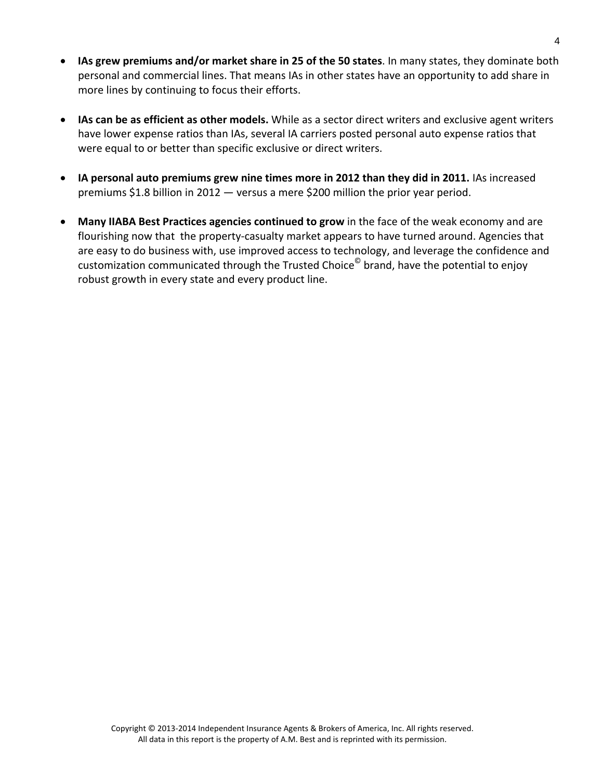- **IAs grew premiums and/or market share in 25 of the 50 states**. In many states, they dominate both personal and commercial lines. That means IAs in other states have an opportunity to add share in more lines by continuing to focus their efforts.
- **IAs can be as efficient as other models.** While as a sector direct writers and exclusive agent writers have lower expense ratios than IAs, several IA carriers posted personal auto expense ratios that were equal to or better than specific exclusive or direct writers.
- **IA personal auto premiums grew nine times more in 2012 than they did in 2011.** IAs increased premiums \$1.8 billion in 2012 — versus a mere \$200 million the prior year period.
- **Many IIABA Best Practices agencies continued to grow** in the face of the weak economy and are flourishing now that the property-casualty market appears to have turned around. Agencies that are easy to do business with, use improved access to technology, and leverage the confidence and customization communicated through the Trusted Choice<sup>©</sup> brand, have the potential to enjoy robust growth in every state and every product line.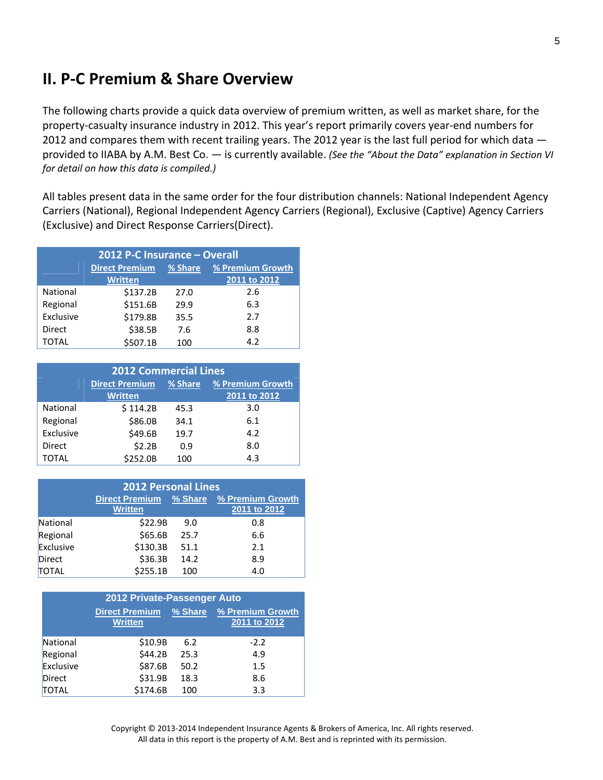# **II. P‐C Premium & Share Overview**

The following charts provide a quick data overview of premium written, as well as market share, for the property-casualty insurance industry in 2012. This year's report primarily covers year-end numbers for 2012 and compares them with recent trailing years. The 2012 year is the last full period for which data provided to IIABA by A.M. Best Co. — is currently available. *(See the "About the Data" explanation in Section VI for detail on how this data is compiled.)*

All tables present data in the same order for the four distribution channels: National Independent Agency Carriers (National), Regional Independent Agency Carriers (Regional), Exclusive (Captive) Agency Carriers (Exclusive) and Direct Response Carriers(Direct).

| 2012 P-C Insurance - Overall |                       |         |                  |  |
|------------------------------|-----------------------|---------|------------------|--|
|                              | <b>Direct Premium</b> | % Share | % Premium Growth |  |
|                              | <b>Written</b>        |         | 2011 to 2012     |  |
| National                     | \$137.2B              | 27.0    | 2.6              |  |
| Regional                     | \$151.6B              | 29.9    | 6.3              |  |
| Exclusive                    | \$179.8B              | 35.5    | 2.7              |  |
| Direct                       | \$38.5B               | 7.6     | 8.8              |  |
| TOTAL                        | \$507.1B              | 100     | 4.2              |  |

| <b>2012 Commercial Lines</b> |                                                      |      |              |  |
|------------------------------|------------------------------------------------------|------|--------------|--|
|                              | <b>Direct Premium</b><br>% Share<br>% Premium Growth |      |              |  |
|                              | <b>Written</b>                                       |      | 2011 to 2012 |  |
| National                     | \$114.2B                                             | 45.3 | 3.0          |  |
| Regional                     | \$86.0B                                              | 34.1 | 6.1          |  |
| Exclusive                    | \$49.6B                                              | 19.7 | 4.2          |  |
| <b>Direct</b>                | \$2.2B                                               | 0.9  | 8.0          |  |
| TOTAL                        | \$252.0B                                             | 100  | 4.3          |  |

|           | <b>2012 Personal Lines</b>              |         |                                  |
|-----------|-----------------------------------------|---------|----------------------------------|
|           | <b>Direct Premium</b><br><b>Written</b> | % Share | % Premium Growth<br>2011 to 2012 |
| National  | \$22.9B                                 | 9.0     | 0.8                              |
| Regional  | \$65.6B                                 | 25.7    | 6.6                              |
| Exclusive | \$130.3B                                | 51.1    | 2.1                              |
| Direct    | \$36.3B                                 | 14.2    | 8.9                              |
| TOTAL     | \$255.1B                                | 100     | 4.0                              |

| 2012 Private-Passenger Auto |                                         |      |                                          |  |
|-----------------------------|-----------------------------------------|------|------------------------------------------|--|
|                             | <b>Direct Premium</b><br><b>Written</b> |      | % Share % Premium Growth<br>2011 to 2012 |  |
| National                    | \$10.9B                                 | 6.2  | $-2.2$                                   |  |
| Regional                    | \$44.2B                                 | 25.3 | 4.9                                      |  |
| Exclusive                   | \$87.6B                                 | 50.2 | 1.5                                      |  |
| <b>Direct</b>               | \$31.9B                                 | 18.3 | 8.6                                      |  |
| <b>TOTAL</b>                | \$174.6B                                | 100  | 3.3                                      |  |

Copyright © 2013‐2014 Independent Insurance Agents & Brokers of America, Inc. All rights reserved. All data in this report is the property of A.M. Best and is reprinted with its permission.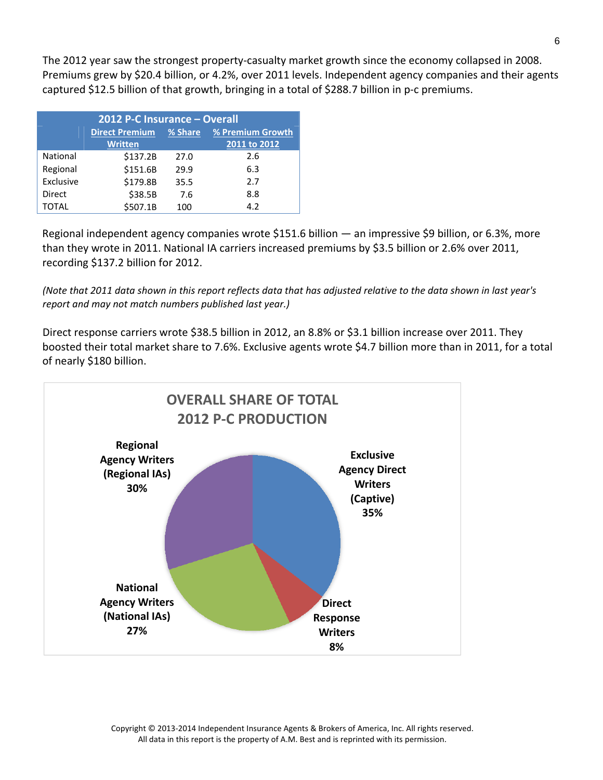The 2012 year saw the strongest property‐casualty market growth since the economy collapsed in 2008. Premiums grew by \$20.4 billion, or 4.2%, over 2011 levels. Independent agency companies and their agents captured \$12.5 billion of that growth, bringing in a total of \$288.7 billion in p‐c premiums.

| 2012 P-C Insurance - Overall |                       |                  |              |  |
|------------------------------|-----------------------|------------------|--------------|--|
|                              | <b>Direct Premium</b> | % Premium Growth |              |  |
|                              | <b>Written</b>        |                  | 2011 to 2012 |  |
| National                     | \$137.2B              | 27.0             | 2.6          |  |
| Regional                     | \$151.6B              | 29.9             | 6.3          |  |
| Exclusive                    | \$179.8B              | 35.5             | 2.7          |  |
| Direct                       | \$38.5B               | 7.6              | 8.8          |  |
| TOTAL                        | \$507.1B              | 100              | 4.2          |  |

Regional independent agency companies wrote \$151.6 billion — an impressive \$9 billion, or 6.3%, more than they wrote in 2011. National IA carriers increased premiums by \$3.5 billion or 2.6% over 2011, recording \$137.2 billion for 2012.

(Note that 2011 data shown in this report reflects data that has adjusted relative to the data shown in last year's *report and may not match numbers published last year.)*

Direct response carriers wrote \$38.5 billion in 2012, an 8.8% or \$3.1 billion increase over 2011. They boosted their total market share to 7.6%. Exclusive agents wrote \$4.7 billion more than in 2011, for a total of nearly \$180 billion.



Copyright © 2013‐2014 Independent Insurance Agents & Brokers of America, Inc. All rights reserved. All data in this report is the property of A.M. Best and is reprinted with its permission.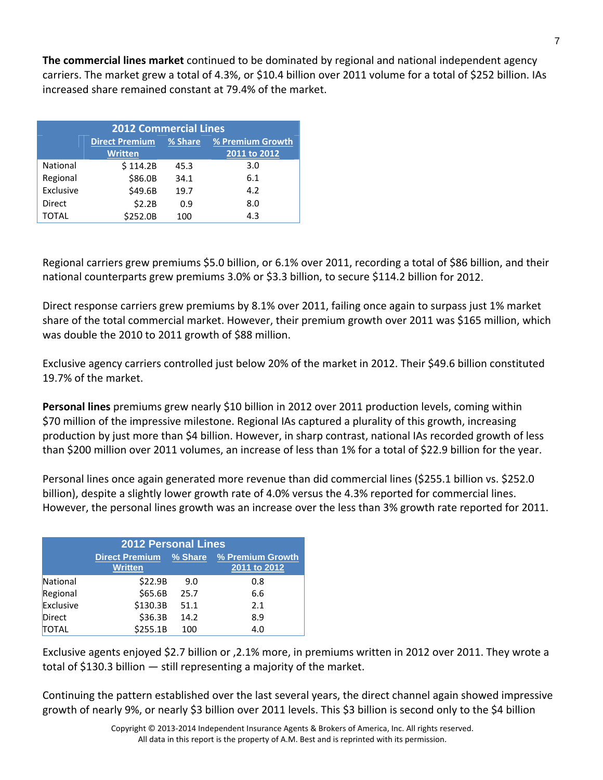**The commercial lines market** continued to be dominated by regional and national independent agency carriers. The market grew a total of 4.3%, or \$10.4 billion over 2011 volume for a total of \$252 billion. IAs increased share remained constant at 79.4% of the market.

| <b>2012 Commercial Lines</b> |                       |         |                  |  |
|------------------------------|-----------------------|---------|------------------|--|
|                              | <b>Direct Premium</b> | % Share | % Premium Growth |  |
|                              | <b>Written</b>        |         | 2011 to 2012     |  |
| National                     | \$114.2B              | 45.3    | 3.0              |  |
| Regional                     | \$86.0B               | 34.1    | 6.1              |  |
| Exclusive                    | \$49.6B               | 19.7    | 4.2              |  |
| Direct                       | \$2.2B                | 0.9     | 8.0              |  |
| TOTAL                        | \$252.0B              | 100     | 4.3              |  |

Regional carriers grew premiums \$5.0 billion, or 6.1% over 2011, recording a total of \$86 billion, and their national counterparts grew premiums 3.0% or \$3.3 billion, to secure \$114.2 billion for 2012.

Direct response carriers grew premiums by 8.1% over 2011, failing once again to surpass just 1% market share of the total commercial market. However, their premium growth over 2011 was \$165 million, which was double the 2010 to 2011 growth of \$88 million.

Exclusive agency carriers controlled just below 20% of the market in 2012. Their \$49.6 billion constituted 19.7% of the market.

**Personal lines** premiums grew nearly \$10 billion in 2012 over 2011 production levels, coming within \$70 million of the impressive milestone. Regional IAs captured a plurality of this growth, increasing production by just more than \$4 billion. However, in sharp contrast, national IAs recorded growth of less than \$200 million over 2011 volumes, an increase of less than 1% for a total of \$22.9 billion for the year.

Personal lines once again generated more revenue than did commercial lines (\$255.1 billion vs. \$252.0 billion), despite a slightly lower growth rate of 4.0% versus the 4.3% reported for commercial lines. However, the personal lines growth was an increase over the less than 3% growth rate reported for 2011.

| <b>2012 Personal Lines</b> |                                         |           |                                  |  |
|----------------------------|-----------------------------------------|-----------|----------------------------------|--|
|                            | <b>Direct Premium</b><br><b>Written</b> | $%$ Share | % Premium Growth<br>2011 to 2012 |  |
| National                   | \$22.9B                                 | 9.0       | 0.8                              |  |
| Regional                   | \$65.6B                                 | 25.7      | 6.6                              |  |
| Exclusive                  | \$130.3B                                | 51.1      | 2.1                              |  |
| <b>Direct</b>              | \$36.3B                                 | 14.2      | 8.9                              |  |
| <b>TOTAL</b>               | \$255.1B                                | 100       | 4.0                              |  |

Exclusive agents enjoyed \$2.7 billion or ,2.1% more, in premiums written in 2012 over 2011. They wrote a total of \$130.3 billion — still representing a majority of the market.

Continuing the pattern established over the last several years, the direct channel again showed impressive growth of nearly 9%, or nearly \$3 billion over 2011 levels. This \$3 billion is second only to the \$4 billion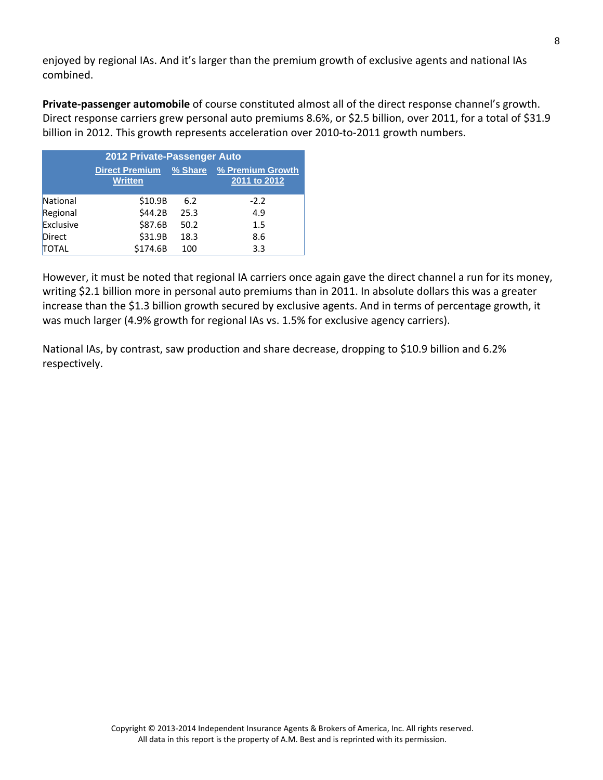enjoyed by regional IAs. And it's larger than the premium growth of exclusive agents and national IAs combined.

**Private‐passenger automobile** of course constituted almost all of the direct response channel's growth. Direct response carriers grew personal auto premiums 8.6%, or \$2.5 billion, over 2011, for a total of \$31.9 billion in 2012. This growth represents acceleration over 2010-to-2011 growth numbers.

| 2012 Private-Passenger Auto |                                         |      |                                          |  |
|-----------------------------|-----------------------------------------|------|------------------------------------------|--|
|                             | <b>Direct Premium</b><br><b>Written</b> |      | % Share % Premium Growth<br>2011 to 2012 |  |
| National                    | \$10.9B                                 | 6.2  | $-2.2$                                   |  |
| Regional                    | \$44.2B                                 | 25.3 | 4.9                                      |  |
| Exclusive                   | \$87.6B                                 | 50.2 | 1.5                                      |  |
| <b>Direct</b>               | \$31.9B                                 | 18.3 | 8.6                                      |  |
| <b>TOTAL</b>                | \$174.6B                                | 100  | 3.3                                      |  |

However, it must be noted that regional IA carriers once again gave the direct channel a run for its money, writing \$2.1 billion more in personal auto premiums than in 2011. In absolute dollars this was a greater increase than the \$1.3 billion growth secured by exclusive agents. And in terms of percentage growth, it was much larger (4.9% growth for regional IAs vs. 1.5% for exclusive agency carriers).

National IAs, by contrast, saw production and share decrease, dropping to \$10.9 billion and 6.2% respectively.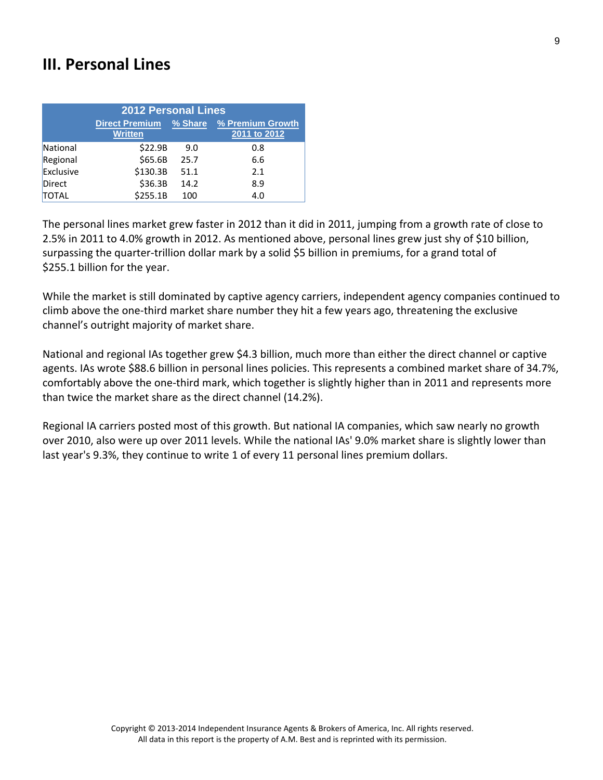# **III. Personal Lines**

|           | <b>2012 Personal Lines</b>              |      |                                          |
|-----------|-----------------------------------------|------|------------------------------------------|
|           | <b>Direct Premium</b><br><b>Written</b> |      | % Share % Premium Growth<br>2011 to 2012 |
| National  | \$22.9B                                 | 9.0  | 0.8                                      |
| Regional  | \$65.6B                                 | 25.7 | 6.6                                      |
| Exclusive | \$130.3B                                | 51.1 | 2.1                                      |
| Direct    | \$36.3B                                 | 14.2 | 8.9                                      |
| TOTAL     | \$255.1B                                | 100  | 4.0                                      |

The personal lines market grew faster in 2012 than it did in 2011, jumping from a growth rate of close to 2.5% in 2011 to 4.0% growth in 2012. As mentioned above, personal lines grew just shy of \$10 billion, surpassing the quarter-trillion dollar mark by a solid \$5 billion in premiums, for a grand total of \$255.1 billion for the year.

While the market is still dominated by captive agency carriers, independent agency companies continued to climb above the one‐third market share number they hit a few years ago, threatening the exclusive channel's outright majority of market share.

National and regional IAs together grew \$4.3 billion, much more than either the direct channel or captive agents. IAs wrote \$88.6 billion in personal lines policies. This represents a combined market share of 34.7%, comfortably above the one‐third mark, which together is slightly higher than in 2011 and represents more than twice the market share as the direct channel (14.2%).

Regional IA carriers posted most of this growth. But national IA companies, which saw nearly no growth over 2010, also were up over 2011 levels. While the national IAs' 9.0% market share is slightly lower than last year's 9.3%, they continue to write 1 of every 11 personal lines premium dollars.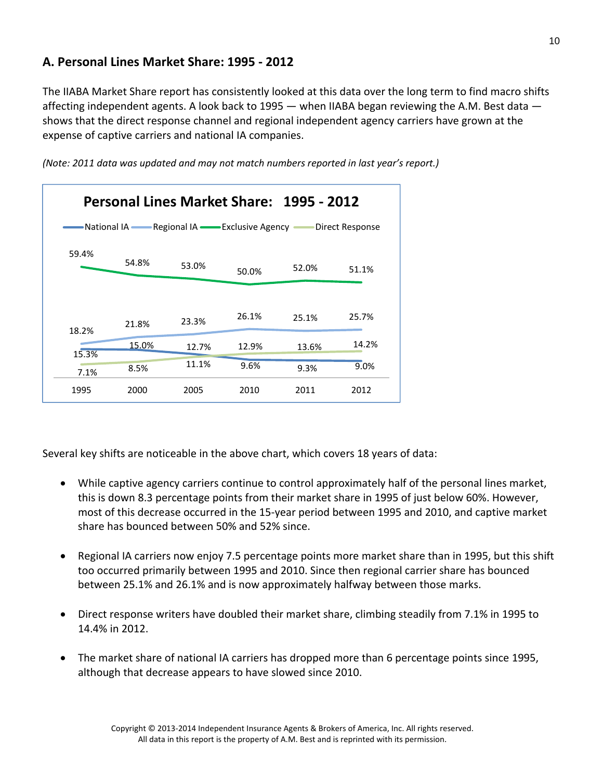### **A. Personal Lines Market Share: 1995 ‐ 2012**

The IIABA Market Share report has consistently looked at this data over the long term to find macro shifts affecting independent agents. A look back to 1995 — when IIABA began reviewing the A.M. Best data shows that the direct response channel and regional independent agency carriers have grown at the expense of captive carriers and national IA companies.

*(Note: 2011 data was updated and may not match numbers reported in last year's report.)*

|                |       |                                                    |       | Personal Lines Market Share: 1995 - 2012 |                 |
|----------------|-------|----------------------------------------------------|-------|------------------------------------------|-----------------|
|                |       | •National IA —— Regional IA —— Exclusive Agency —— |       |                                          | Direct Response |
| 59.4%          | 54.8% | 53.0%                                              | 50.0% | 52.0%                                    | 51.1%           |
|                | 21.8% | 23.3%                                              | 26.1% | 25.1%                                    | 25.7%           |
| 18.2%<br>15.3% | 15.0% | 12.7%                                              | 12.9% | 13.6%                                    | 14.2%           |
| 7.1%           | 8.5%  | 11.1%                                              | 9.6%  | 9.3%                                     | 9.0%            |
| 1995           | 2000  | 2005                                               | 2010  | 2011                                     | 2012            |

Several key shifts are noticeable in the above chart, which covers 18 years of data:

- While captive agency carriers continue to control approximately half of the personal lines market, this is down 8.3 percentage points from their market share in 1995 of just below 60%. However, most of this decrease occurred in the 15‐year period between 1995 and 2010, and captive market share has bounced between 50% and 52% since.
- Regional IA carriers now enjoy 7.5 percentage points more market share than in 1995, but this shift too occurred primarily between 1995 and 2010. Since then regional carrier share has bounced between 25.1% and 26.1% and is now approximately halfway between those marks.
- Direct response writers have doubled their market share, climbing steadily from 7.1% in 1995 to 14.4% in 2012.
- The market share of national IA carriers has dropped more than 6 percentage points since 1995, although that decrease appears to have slowed since 2010.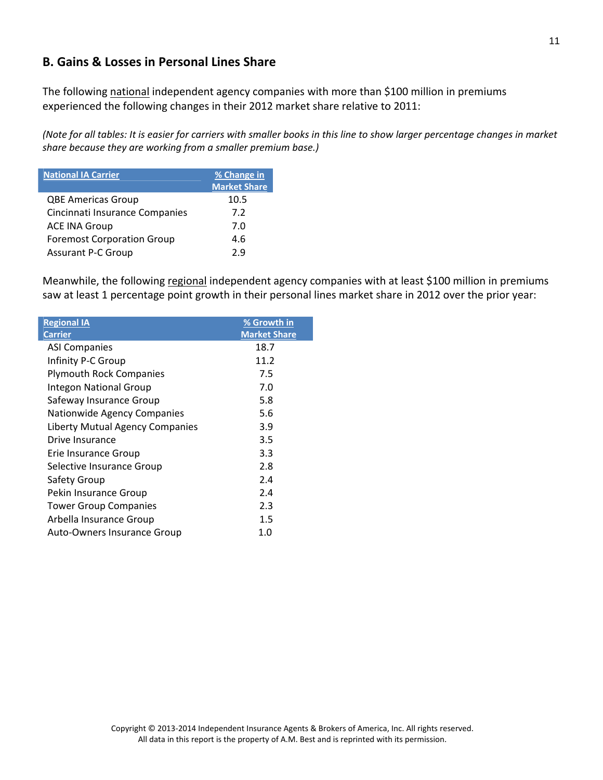### **B. Gains & Losses in Personal Lines Share**

The following national independent agency companies with more than \$100 million in premiums experienced the following changes in their 2012 market share relative to 2011:

(Note for all tables: It is easier for carriers with smaller books in this line to show larger percentage changes in market *share because they are working from a smaller premium base.)*

| <b>National IA Carrier</b>        | % Change in<br><b>Market Share</b> |
|-----------------------------------|------------------------------------|
| <b>QBE Americas Group</b>         | 10.5                               |
| Cincinnati Insurance Companies    | 7.2                                |
| <b>ACE INA Group</b>              | 7.0                                |
| <b>Foremost Corporation Group</b> | 4.6                                |
| <b>Assurant P-C Group</b>         | 2.9                                |

Meanwhile, the following regional independent agency companies with at least \$100 million in premiums saw at least 1 percentage point growth in their personal lines market share in 2012 over the prior year:

| <b>Regional IA</b>                 | % Growth in         |
|------------------------------------|---------------------|
| <b>Carrier</b>                     | <b>Market Share</b> |
| <b>ASI Companies</b>               | 18.7                |
| Infinity P-C Group                 | 11.2                |
| <b>Plymouth Rock Companies</b>     | 7.5                 |
| <b>Integon National Group</b>      | 7.0                 |
| Safeway Insurance Group            | 5.8                 |
| Nationwide Agency Companies        | 5.6                 |
| Liberty Mutual Agency Companies    | 3.9                 |
| Drive Insurance                    | 3.5                 |
| Erie Insurance Group               | 3.3                 |
| Selective Insurance Group          | 2.8                 |
| Safety Group                       | 2.4                 |
| Pekin Insurance Group              | 2.4                 |
| <b>Tower Group Companies</b>       | 2.3                 |
| Arbella Insurance Group            | 1.5                 |
| <b>Auto-Owners Insurance Group</b> | 1.0                 |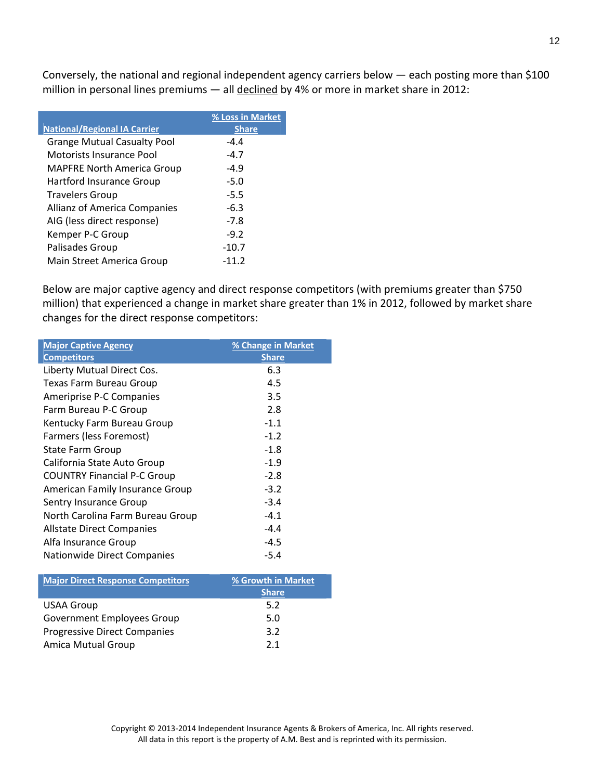Conversely, the national and regional independent agency carriers below — each posting more than \$100 million in personal lines premiums - all declined by 4% or more in market share in 2012:

|                                     | % Loss in Market |
|-------------------------------------|------------------|
| <b>National/Regional IA Carrier</b> | <b>Share</b>     |
| <b>Grange Mutual Casualty Pool</b>  | $-4.4$           |
| Motorists Insurance Pool            | $-4.7$           |
| <b>MAPFRE North America Group</b>   | $-4.9$           |
| Hartford Insurance Group            | $-5.0$           |
| <b>Travelers Group</b>              | -5.5             |
| Allianz of America Companies        | $-6.3$           |
| AIG (less direct response)          | $-7.8$           |
| Kemper P-C Group                    | $-9.2$           |
| Palisades Group                     | $-10.7$          |
| Main Street America Group           | $-11.2$          |

Below are major captive agency and direct response competitors (with premiums greater than \$750 million) that experienced a change in market share greater than 1% in 2012, followed by market share changes for the direct response competitors:

| <b>Major Captive Agency</b>        | % Change in Market |
|------------------------------------|--------------------|
| <b>Competitors</b>                 | <b>Share</b>       |
| Liberty Mutual Direct Cos.         | 6.3                |
| Texas Farm Bureau Group            | 4.5                |
| Ameriprise P-C Companies           | 3.5                |
| Farm Bureau P-C Group              | 2.8                |
| Kentucky Farm Bureau Group         | $-1.1$             |
| Farmers (less Foremost)            | $-1.2$             |
| State Farm Group                   | $-1.8$             |
| California State Auto Group        | $-1.9$             |
| <b>COUNTRY Financial P-C Group</b> | $-2.8$             |
| American Family Insurance Group    | $-3.2$             |
| Sentry Insurance Group             | $-3.4$             |
| North Carolina Farm Bureau Group   | $-4.1$             |
| Allstate Direct Companies          | $-4.4$             |
| Alfa Insurance Group               | $-4.5$             |
| <b>Nationwide Direct Companies</b> | $-5.4$             |

| <b>Major Direct Response Competitors</b> | % Growth in Market |
|------------------------------------------|--------------------|
|                                          | <b>Share</b>       |
| <b>USAA Group</b>                        | 5.2                |
| <b>Government Employees Group</b>        | 5.0                |
| <b>Progressive Direct Companies</b>      | 3.2                |
| <b>Amica Mutual Group</b>                | 21                 |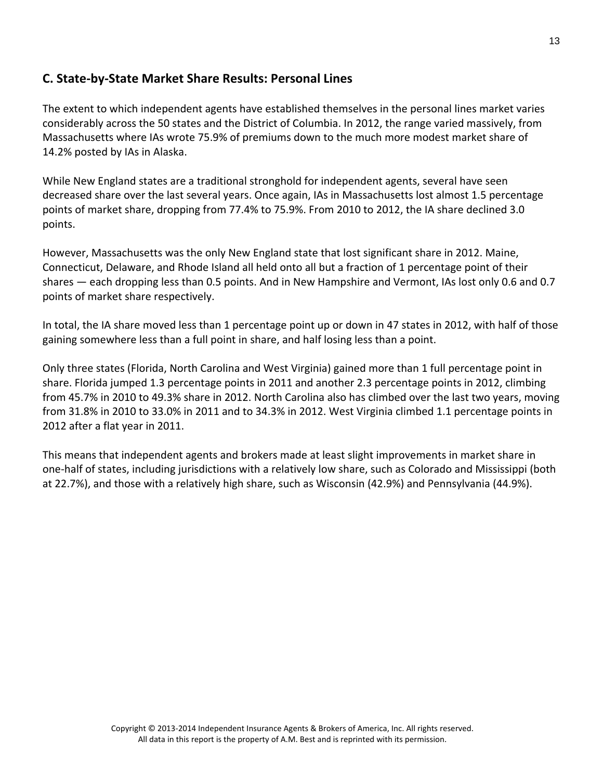#### **C. State‐by‐State Market Share Results: Personal Lines**

The extent to which independent agents have established themselves in the personal lines market varies considerably across the 50 states and the District of Columbia. In 2012, the range varied massively, from Massachusetts where IAs wrote 75.9% of premiums down to the much more modest market share of 14.2% posted by IAs in Alaska.

While New England states are a traditional stronghold for independent agents, several have seen decreased share over the last several years. Once again, IAs in Massachusetts lost almost 1.5 percentage points of market share, dropping from 77.4% to 75.9%. From 2010 to 2012, the IA share declined 3.0 points.

However, Massachusetts was the only New England state that lost significant share in 2012. Maine, Connecticut, Delaware, and Rhode Island all held onto all but a fraction of 1 percentage point of their shares — each dropping less than 0.5 points. And in New Hampshire and Vermont, IAs lost only 0.6 and 0.7 points of market share respectively.

In total, the IA share moved less than 1 percentage point up or down in 47 states in 2012, with half of those gaining somewhere less than a full point in share, and half losing less than a point.

Only three states (Florida, North Carolina and West Virginia) gained more than 1 full percentage point in share. Florida jumped 1.3 percentage points in 2011 and another 2.3 percentage points in 2012, climbing from 45.7% in 2010 to 49.3% share in 2012. North Carolina also has climbed over the last two years, moving from 31.8% in 2010 to 33.0% in 2011 and to 34.3% in 2012. West Virginia climbed 1.1 percentage points in 2012 after a flat year in 2011.

This means that independent agents and brokers made at least slight improvements in market share in one‐half of states, including jurisdictions with a relatively low share, such as Colorado and Mississippi (both at 22.7%), and those with a relatively high share, such as Wisconsin (42.9%) and Pennsylvania (44.9%).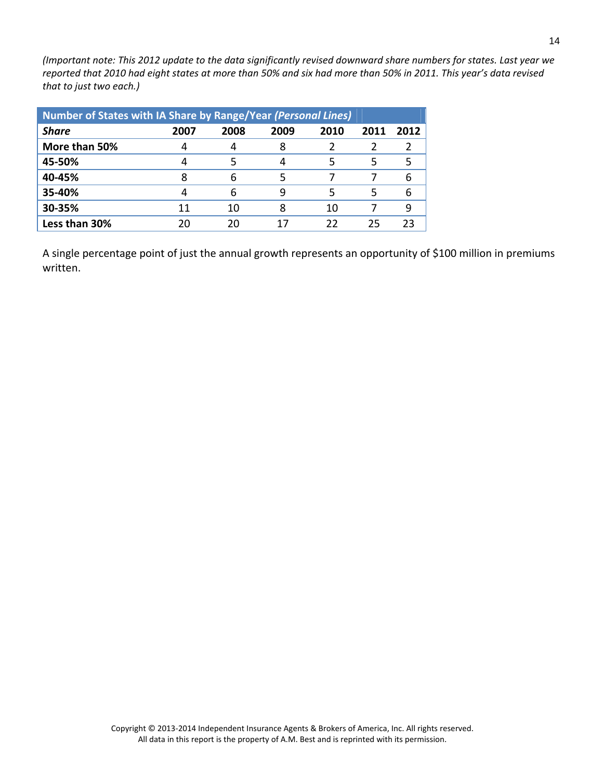(Important note: This 2012 update to the data significantly revised downward share numbers for states. Last year we reported that 2010 had eight states at more than 50% and six had more than 50% in 2011. This year's data revised *that to just two each.)*

| Number of States with IA Share by Range/Year (Personal Lines) |      |      |      |      |      |      |
|---------------------------------------------------------------|------|------|------|------|------|------|
| <b>Share</b>                                                  | 2007 | 2008 | 2009 | 2010 | 2011 | 2012 |
| More than 50%                                                 |      |      |      |      |      |      |
| 45-50%                                                        |      |      |      | 5    | 5    |      |
| 40-45%                                                        |      |      |      |      |      |      |
| 35-40%                                                        |      | 6    | q    | 5    | 5    |      |
| 30-35%                                                        | 11   | 10   | 8    | 10   |      |      |
| Less than 30%                                                 | 20   | 2በ   |      | 22   | 25   |      |

A single percentage point of just the annual growth represents an opportunity of \$100 million in premiums written.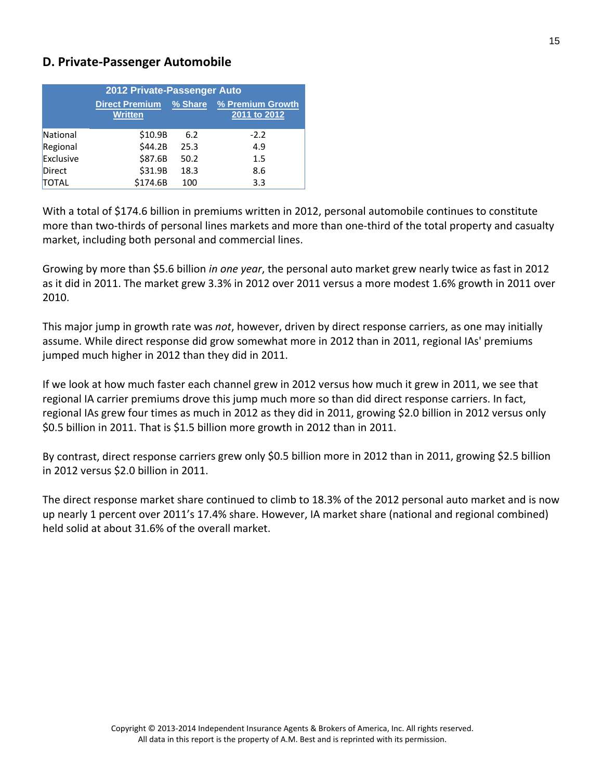#### **D. Private‐Passenger Automobile**

|           | 2012 Private-Passenger Auto             |         |                                  |
|-----------|-----------------------------------------|---------|----------------------------------|
|           | <b>Direct Premium</b><br><b>Written</b> | % Share | % Premium Growth<br>2011 to 2012 |
| National  | \$10.9B                                 | 6.2     | $-2.2$                           |
| Regional  | \$44.2B                                 | 25.3    | 4.9                              |
| Exclusive | \$87.6B                                 | 50.2    | 1.5                              |
| Direct    | \$31.9B                                 | 18.3    | 8.6                              |
| TOTAL     | \$174.6B                                | 100     | 3.3                              |

With a total of \$174.6 billion in premiums written in 2012, personal automobile continues to constitute more than two‐thirds of personal lines markets and more than one‐third of the total property and casualty market, including both personal and commercial lines.

Growing by more than \$5.6 billion *in one year*, the personal auto market grew nearly twice as fast in 2012 as it did in 2011. The market grew 3.3% in 2012 over 2011 versus a more modest 1.6% growth in 2011 over 2010.

This major jump in growth rate was *not*, however, driven by direct response carriers, as one may initially assume. While direct response did grow somewhat more in 2012 than in 2011, regional IAs' premiums jumped much higher in 2012 than they did in 2011.

If we look at how much faster each channel grew in 2012 versus how much it grew in 2011, we see that regional IA carrier premiums drove this jump much more so than did direct response carriers. In fact, regional IAs grew four times as much in 2012 as they did in 2011, growing \$2.0 billion in 2012 versus only \$0.5 billion in 2011. That is \$1.5 billion more growth in 2012 than in 2011.

By contrast, direct response carriers grew only \$0.5 billion more in 2012 than in 2011, growing \$2.5 billion in 2012 versus \$2.0 billion in 2011.

The direct response market share continued to climb to 18.3% of the 2012 personal auto market and is now up nearly 1 percent over 2011's 17.4% share. However, IA market share (national and regional combined) held solid at about 31.6% of the overall market.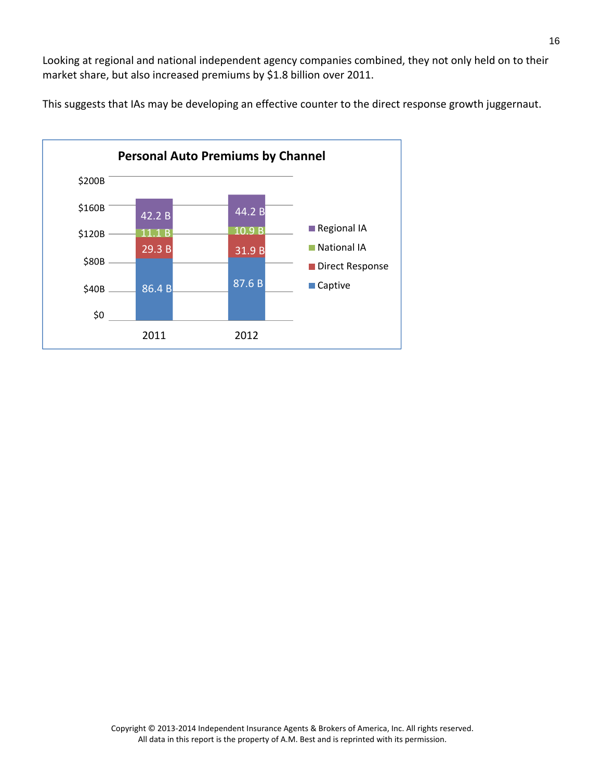Looking at regional and national independent agency companies combined, they not only held on to their market share, but also increased premiums by \$1.8 billion over 2011.

This suggests that IAs may be developing an effective counter to the direct response growth juggernaut.

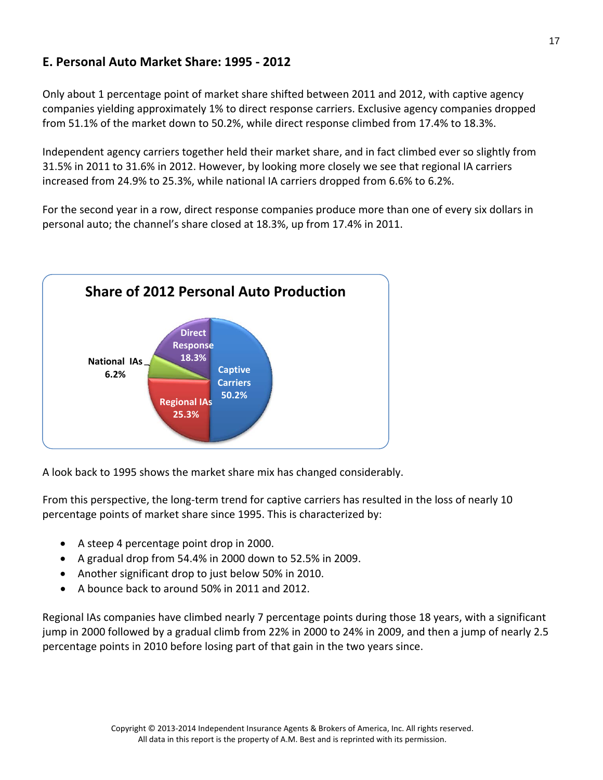## **E. Personal Auto Market Share: 1995 ‐ 2012**

Only about 1 percentage point of market share shifted between 2011 and 2012, with captive agency companies yielding approximately 1% to direct response carriers. Exclusive agency companies dropped from 51.1% of the market down to 50.2%, while direct response climbed from 17.4% to 18.3%.

Independent agency carriers together held their market share, and in fact climbed ever so slightly from 31.5% in 2011 to 31.6% in 2012. However, by looking more closely we see that regional IA carriers increased from 24.9% to 25.3%, while national IA carriers dropped from 6.6% to 6.2%.

For the second year in a row, direct response companies produce more than one of every six dollars in personal auto; the channel's share closed at 18.3%, up from 17.4% in 2011.



A look back to 1995 shows the market share mix has changed considerably.

From this perspective, the long‐term trend for captive carriers has resulted in the loss of nearly 10 percentage points of market share since 1995. This is characterized by:

- A steep 4 percentage point drop in 2000.
- A gradual drop from 54.4% in 2000 down to 52.5% in 2009.
- Another significant drop to just below 50% in 2010.
- A bounce back to around 50% in 2011 and 2012.

Regional IAs companies have climbed nearly 7 percentage points during those 18 years, with a significant jump in 2000 followed by a gradual climb from 22% in 2000 to 24% in 2009, and then a jump of nearly 2.5 percentage points in 2010 before losing part of that gain in the two years since.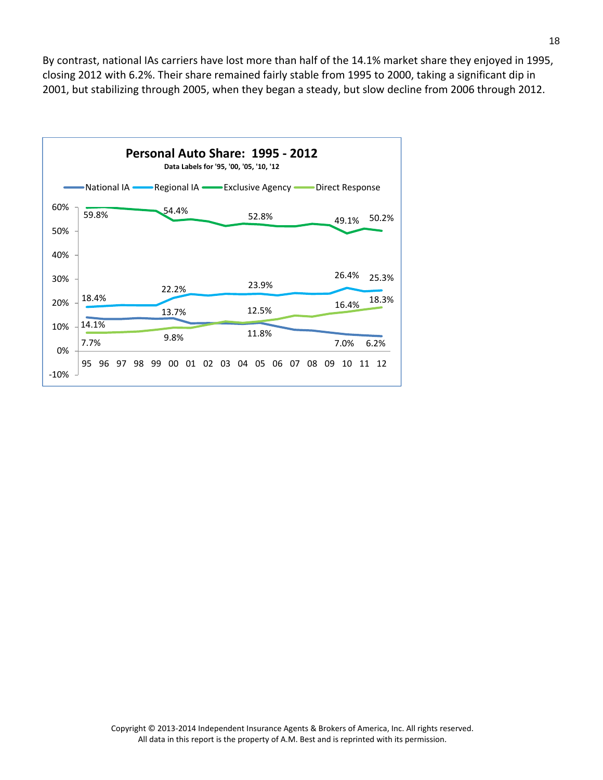By contrast, national IAs carriers have lost more than half of the 14.1% market share they enjoyed in 1995, closing 2012 with 6.2%. Their share remained fairly stable from 1995 to 2000, taking a significant dip in 2001, but stabilizing through 2005, when they began a steady, but slow decline from 2006 through 2012.

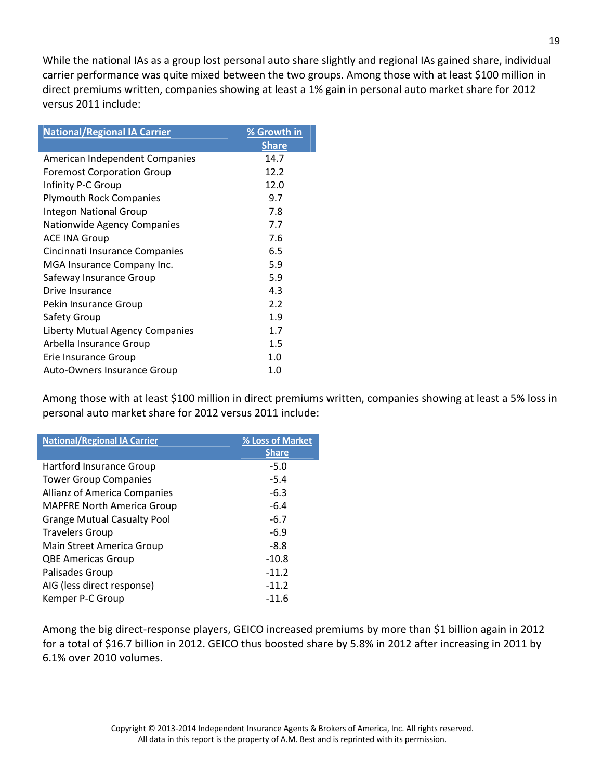While the national IAs as a group lost personal auto share slightly and regional IAs gained share, individual carrier performance was quite mixed between the two groups. Among those with at least \$100 million in direct premiums written, companies showing at least a 1% gain in personal auto market share for 2012 versus 2011 include:

| <b>National/Regional IA Carrier</b> | % Growth in  |
|-------------------------------------|--------------|
|                                     | <b>Share</b> |
| American Independent Companies      | 14.7         |
| <b>Foremost Corporation Group</b>   | 12.2         |
| Infinity P-C Group                  | 12.0         |
| <b>Plymouth Rock Companies</b>      | 9.7          |
| <b>Integon National Group</b>       | 7.8          |
| Nationwide Agency Companies         | 7.7          |
| <b>ACE INA Group</b>                | 7.6          |
| Cincinnati Insurance Companies      | 6.5          |
| MGA Insurance Company Inc.          | 5.9          |
| Safeway Insurance Group             | 5.9          |
| Drive Insurance                     | 4.3          |
| Pekin Insurance Group               | 2.2          |
| Safety Group                        | 1.9          |
| Liberty Mutual Agency Companies     | 1.7          |
| Arbella Insurance Group             | 1.5          |
| Erie Insurance Group                | 1.0          |
| Auto-Owners Insurance Group         | 1.0          |

Among those with at least \$100 million in direct premiums written, companies showing at least a 5% loss in personal auto market share for 2012 versus 2011 include:

| <b>National/Regional IA Carrier</b> | % Loss of Market |
|-------------------------------------|------------------|
|                                     | <b>Share</b>     |
| Hartford Insurance Group            | $-5.0$           |
| <b>Tower Group Companies</b>        | $-5.4$           |
| <b>Allianz of America Companies</b> | $-6.3$           |
| <b>MAPFRE North America Group</b>   | $-6.4$           |
| <b>Grange Mutual Casualty Pool</b>  | $-6.7$           |
| <b>Travelers Group</b>              | $-6.9$           |
| Main Street America Group           | $-8.8$           |
| <b>QBE Americas Group</b>           | $-10.8$          |
| Palisades Group                     | $-11.2$          |
| AIG (less direct response)          | $-11.2$          |
| Kemper P-C Group                    | $-11.6$          |

Among the big direct‐response players, GEICO increased premiums by more than \$1 billion again in 2012 for a total of \$16.7 billion in 2012. GEICO thus boosted share by 5.8% in 2012 after increasing in 2011 by 6.1% over 2010 volumes.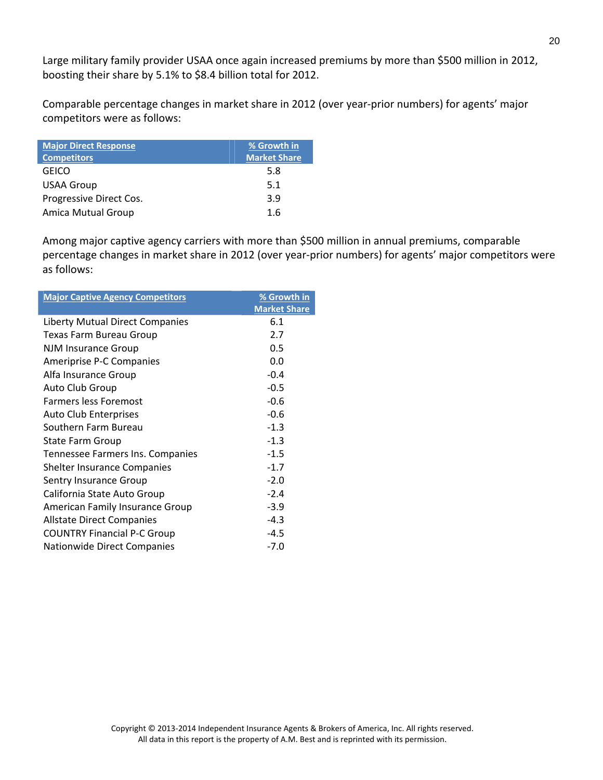Large military family provider USAA once again increased premiums by more than \$500 million in 2012, boosting their share by 5.1% to \$8.4 billion total for 2012.

Comparable percentage changes in market share in 2012 (over year‐prior numbers) for agents' major competitors were as follows:

| <b>Major Direct Response</b> | % Growth in         |
|------------------------------|---------------------|
| <b>Competitors</b>           | <b>Market Share</b> |
| <b>GEICO</b>                 | 5.8                 |
| <b>USAA Group</b>            | 5.1                 |
| Progressive Direct Cos.      | 3.9                 |
| Amica Mutual Group           | 1.6                 |

Among major captive agency carriers with more than \$500 million in annual premiums, comparable percentage changes in market share in 2012 (over year‐prior numbers) for agents' major competitors were as follows:

| <b>Major Captive Agency Competitors</b> | % Growth in         |
|-----------------------------------------|---------------------|
|                                         | <b>Market Share</b> |
| <b>Liberty Mutual Direct Companies</b>  | 6.1                 |
| Texas Farm Bureau Group                 | 2.7                 |
| <b>NJM Insurance Group</b>              | 0.5                 |
| Ameriprise P-C Companies                | 0.0                 |
| Alfa Insurance Group                    | $-0.4$              |
| Auto Club Group                         | $-0.5$              |
| <b>Farmers less Foremost</b>            | $-0.6$              |
| <b>Auto Club Enterprises</b>            | $-0.6$              |
| Southern Farm Bureau                    | $-1.3$              |
| <b>State Farm Group</b>                 | $-1.3$              |
| Tennessee Farmers Ins. Companies        | $-1.5$              |
| <b>Shelter Insurance Companies</b>      | $-1.7$              |
| <b>Sentry Insurance Group</b>           | $-2.0$              |
| California State Auto Group             | $-2.4$              |
| American Family Insurance Group         | $-3.9$              |
| <b>Allstate Direct Companies</b>        | $-4.3$              |
| <b>COUNTRY Financial P-C Group</b>      | $-4.5$              |
| Nationwide Direct Companies             | $-7.0$              |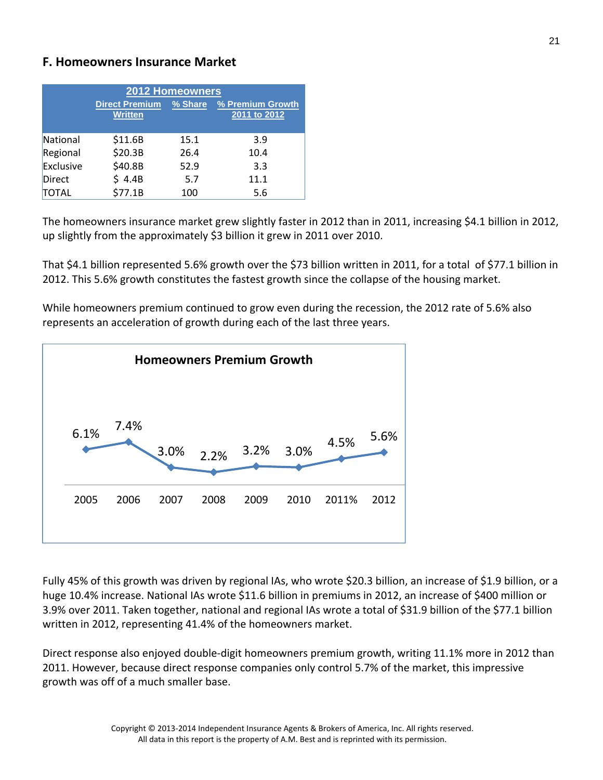#### **F. Homeowners Insurance Market**

|               |                                         | <b>2012 Homeowners</b> |                                  |
|---------------|-----------------------------------------|------------------------|----------------------------------|
|               | <b>Direct Premium</b><br><b>Written</b> | % Share                | % Premium Growth<br>2011 to 2012 |
| National      | \$11.6B                                 | 15.1                   | 3.9                              |
| Regional      | \$20.3B                                 | 26.4                   | 10.4                             |
| Exclusive     | \$40.8B                                 | 52.9                   | 3.3                              |
| <b>Direct</b> | \$4.4B                                  | 5.7                    | 11.1                             |
| TOTAL         | \$77.1B                                 | 100                    | 5.6                              |

The homeowners insurance market grew slightly faster in 2012 than in 2011, increasing \$4.1 billion in 2012, up slightly from the approximately \$3 billion it grew in 2011 over 2010.

That \$4.1 billion represented 5.6% growth over the \$73 billion written in 2011, for a total of \$77.1 billion in 2012. This 5.6% growth constitutes the fastest growth since the collapse of the housing market.

While homeowners premium continued to grow even during the recession, the 2012 rate of 5.6% also represents an acceleration of growth during each of the last three years.



Fully 45% of this growth was driven by regional IAs, who wrote \$20.3 billion, an increase of \$1.9 billion, or a huge 10.4% increase. National IAs wrote \$11.6 billion in premiums in 2012, an increase of \$400 million or 3.9% over 2011. Taken together, national and regional IAs wrote a total of \$31.9 billion of the \$77.1 billion written in 2012, representing 41.4% of the homeowners market.

Direct response also enjoyed double‐digit homeowners premium growth, writing 11.1% more in 2012 than 2011. However, because direct response companies only control 5.7% of the market, this impressive growth was off of a much smaller base.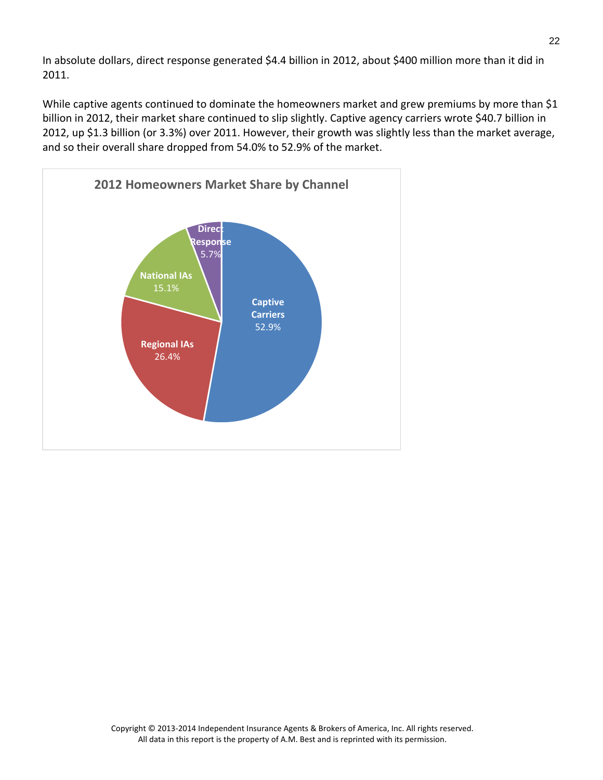In absolute dollars, direct response generated \$4.4 billion in 2012, about \$400 million more than it did in 2011.

While captive agents continued to dominate the homeowners market and grew premiums by more than \$1 billion in 2012, their market share continued to slip slightly. Captive agency carriers wrote \$40.7 billion in 2012, up \$1.3 billion (or 3.3%) over 2011. However, their growth was slightly less than the market average, and so their overall share dropped from 54.0% to 52.9% of the market.

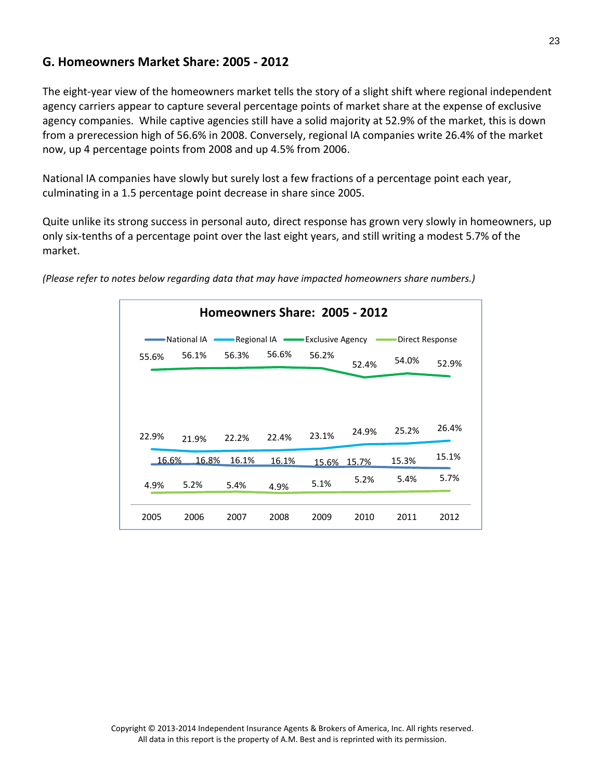#### **G. Homeowners Market Share: 2005 ‐ 2012**

The eight-year view of the homeowners market tells the story of a slight shift where regional independent agency carriers appear to capture several percentage points of market share at the expense of exclusive agency companies. While captive agencies still have a solid majority at 52.9% of the market, this is down from a prerecession high of 56.6% in 2008. Conversely, regional IA companies write 26.4% of the market now, up 4 percentage points from 2008 and up 4.5% from 2006.

National IA companies have slowly but surely lost a few fractions of a percentage point each year, culminating in a 1.5 percentage point decrease in share since 2005.

Quite unlike its strong success in personal auto, direct response has grown very slowly in homeowners, up only six‐tenths of a percentage point over the last eight years, and still writing a modest 5.7% of the market.

|       |             |                | Homeowners Share: 2005 - 2012  |       |       |                 |       |
|-------|-------------|----------------|--------------------------------|-------|-------|-----------------|-------|
|       | National IA |                | Regional IA • Exclusive Agency |       |       | Direct Response |       |
| 55.6% | 56.1%       | 56.6%<br>56.3% |                                | 56.2% | 52.4% | 54.0%           | 52.9% |
| 22.9% | 21.9%       | 22.2%          | 22.4%                          | 23.1% | 24.9% | 25.2%           | 26.4% |
| 16.6% | 16.8%       | 16.1%          | 16.1%                          | 15.6% | 15.7% | 15.3%           | 15.1% |
| 4.9%  | 5.2%        | 5.4%           | 4.9%                           | 5.1%  | 5.2%  | 5.4%            | 5.7%  |
|       |             |                |                                |       |       |                 |       |

*(Please refer to notes below regarding data that may have impacted homeowners share numbers.)*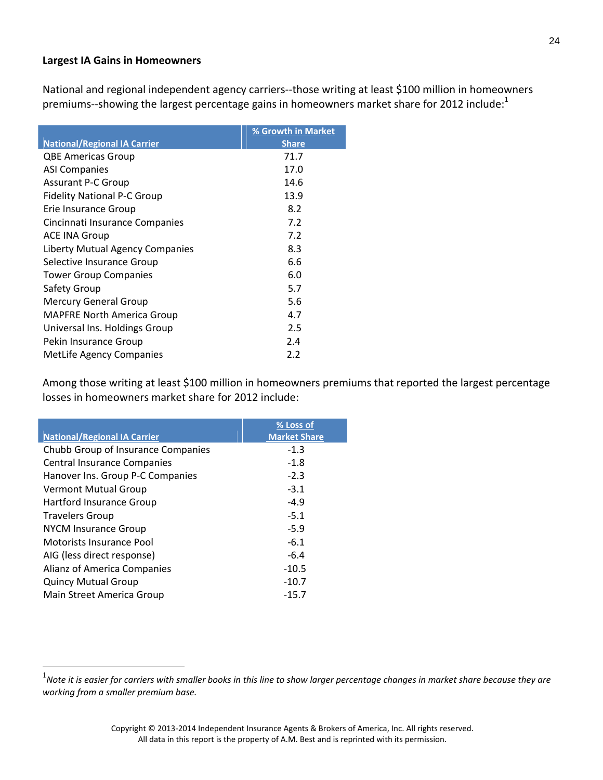#### **Largest IA Gains in Homeowners**

National and regional independent agency carriers‐‐those writing at least \$100 million in homeowners premiums--showing the largest percentage gains in homeowners market share for 2012 include:<sup>1</sup>

|                                     | % Growth in Market |
|-------------------------------------|--------------------|
| <b>National/Regional IA Carrier</b> | <b>Share</b>       |
| <b>QBE Americas Group</b>           | 71.7               |
| <b>ASI Companies</b>                | 17.0               |
| <b>Assurant P-C Group</b>           | 14.6               |
| <b>Fidelity National P-C Group</b>  | 13.9               |
| Erie Insurance Group                | 8.2                |
| Cincinnati Insurance Companies      | 7.2                |
| <b>ACE INA Group</b>                | 7.2                |
| Liberty Mutual Agency Companies     | 8.3                |
| Selective Insurance Group           | 6.6                |
| <b>Tower Group Companies</b>        | 6.0                |
| Safety Group                        | 5.7                |
| <b>Mercury General Group</b>        | 5.6                |
| <b>MAPFRE North America Group</b>   | 4.7                |
| Universal Ins. Holdings Group       | 2.5                |
| Pekin Insurance Group               | 2.4                |
| <b>MetLife Agency Companies</b>     | 2.2                |

Among those writing at least \$100 million in homeowners premiums that reported the largest percentage losses in homeowners market share for 2012 include:

| <b>National/Regional IA Carrier</b> | % Loss of<br><b>Market Share</b> |
|-------------------------------------|----------------------------------|
| Chubb Group of Insurance Companies  | $-1.3$                           |
| <b>Central Insurance Companies</b>  | $-1.8$                           |
| Hanover Ins. Group P-C Companies    | $-2.3$                           |
| <b>Vermont Mutual Group</b>         | $-3.1$                           |
| <b>Hartford Insurance Group</b>     | $-4.9$                           |
| <b>Travelers Group</b>              | $-5.1$                           |
| <b>NYCM Insurance Group</b>         | $-5.9$                           |
| Motorists Insurance Pool            | $-6.1$                           |
| AIG (less direct response)          | $-6.4$                           |
| Alianz of America Companies         | $-10.5$                          |
| <b>Quincy Mutual Group</b>          | $-10.7$                          |
| Main Street America Group           | $-15.7$                          |

 $\overline{a}$ 

 $^{\rm 1}$ Note it is easier for carriers with smaller books in this line to show larger percentage changes in market share because they are *working from a smaller premium base.*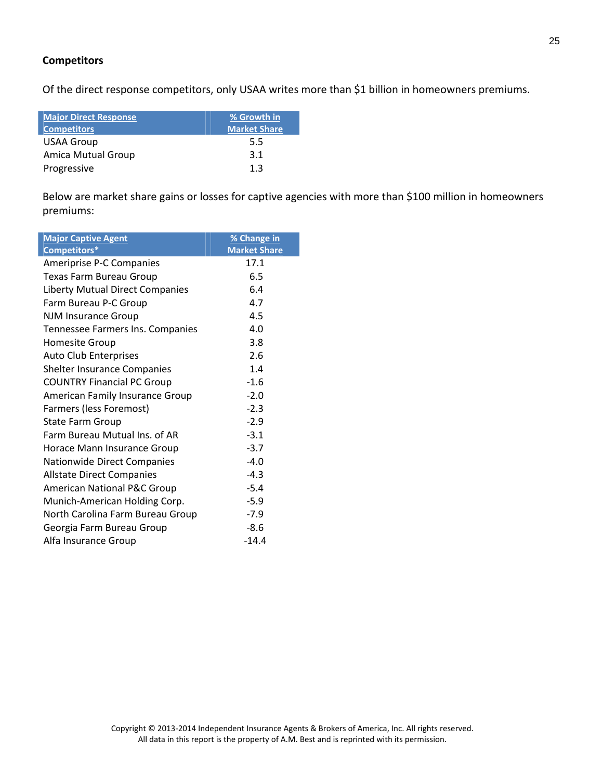#### **Competitors**

Of the direct response competitors, only USAA writes more than \$1 billion in homeowners premiums.

| <b>Major Direct Response</b> | % Growth in         |
|------------------------------|---------------------|
| <b>Competitors</b>           | <b>Market Share</b> |
| <b>USAA Group</b>            | 5.5                 |
| <b>Amica Mutual Group</b>    | 3.1                 |
| Progressive                  | 1.3                 |

Below are market share gains or losses for captive agencies with more than \$100 million in homeowners premiums:

| <b>Major Captive Agent</b>             | % Change in         |
|----------------------------------------|---------------------|
| Competitors*                           | <b>Market Share</b> |
| Ameriprise P-C Companies               | 17.1                |
| Texas Farm Bureau Group                | 6.5                 |
| <b>Liberty Mutual Direct Companies</b> | 6.4                 |
| Farm Bureau P-C Group                  | 4.7                 |
| <b>NJM Insurance Group</b>             | 4.5                 |
| Tennessee Farmers Ins. Companies       | 4.0                 |
| <b>Homesite Group</b>                  | 3.8                 |
| <b>Auto Club Enterprises</b>           | 2.6                 |
| Shelter Insurance Companies            | 1.4                 |
| <b>COUNTRY Financial PC Group</b>      | $-1.6$              |
| <b>American Family Insurance Group</b> | $-2.0$              |
| Farmers (less Foremost)                | $-2.3$              |
| <b>State Farm Group</b>                | $-2.9$              |
| Farm Bureau Mutual Ins. of AR          | $-3.1$              |
| Horace Mann Insurance Group            | $-3.7$              |
| Nationwide Direct Companies            | $-4.0$              |
| <b>Allstate Direct Companies</b>       | $-4.3$              |
| <b>American National P&amp;C Group</b> | $-5.4$              |
| Munich-American Holding Corp.          | $-5.9$              |
| North Carolina Farm Bureau Group       | $-7.9$              |
| Georgia Farm Bureau Group              | $-8.6$              |
| Alfa Insurance Group                   | $-14.4$             |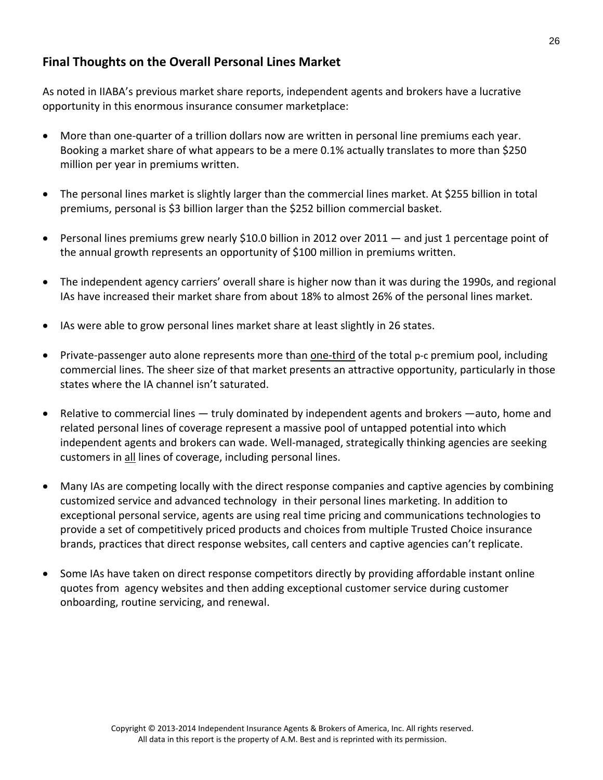### **Final Thoughts on the Overall Personal Lines Market**

As noted in IIABA's previous market share reports, independent agents and brokers have a lucrative opportunity in this enormous insurance consumer marketplace:

- More than one-quarter of a trillion dollars now are written in personal line premiums each year. Booking a market share of what appears to be a mere 0.1% actually translates to more than \$250 million per year in premiums written.
- The personal lines market is slightly larger than the commercial lines market. At \$255 billion in total premiums, personal is \$3 billion larger than the \$252 billion commercial basket.
- Personal lines premiums grew nearly \$10.0 billion in 2012 over 2011 and just 1 percentage point of the annual growth represents an opportunity of \$100 million in premiums written.
- The independent agency carriers' overall share is higher now than it was during the 1990s, and regional IAs have increased their market share from about 18% to almost 26% of the personal lines market.
- IAs were able to grow personal lines market share at least slightly in 26 states.
- Private-passenger auto alone represents more than one-third of the total p-c premium pool, including commercial lines. The sheer size of that market presents an attractive opportunity, particularly in those states where the IA channel isn't saturated.
- Relative to commercial lines truly dominated by independent agents and brokers —auto, home and related personal lines of coverage represent a massive pool of untapped potential into which independent agents and brokers can wade. Well-managed, strategically thinking agencies are seeking customers in all lines of coverage, including personal lines.
- Many IAs are competing locally with the direct response companies and captive agencies by combining customized service and advanced technology in their personal lines marketing. In addition to exceptional personal service, agents are using real time pricing and communications technologies to provide a set of competitively priced products and choices from multiple Trusted Choice insurance brands, practices that direct response websites, call centers and captive agencies can't replicate.
- Some IAs have taken on direct response competitors directly by providing affordable instant online quotes from agency websites and then adding exceptional customer service during customer onboarding, routine servicing, and renewal.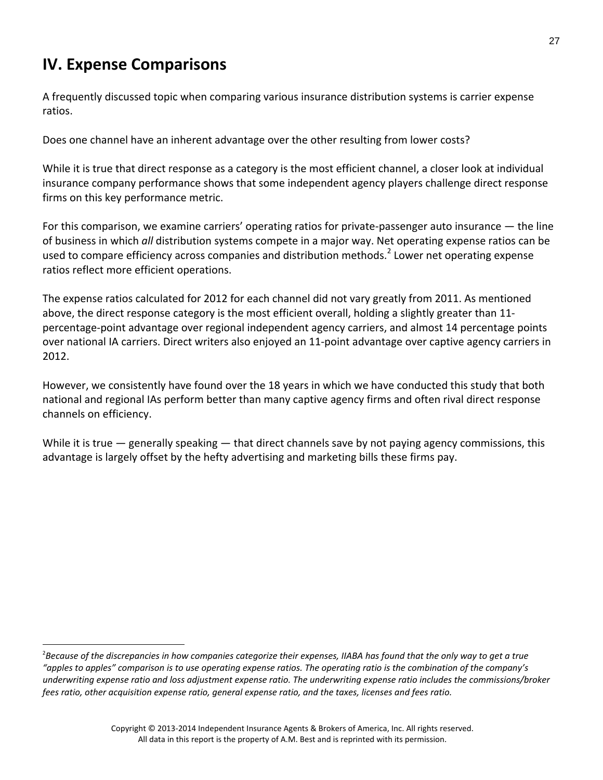# **IV. Expense Comparisons**

 $\overline{a}$ 

A frequently discussed topic when comparing various insurance distribution systems is carrier expense ratios.

Does one channel have an inherent advantage over the other resulting from lower costs?

While it is true that direct response as a category is the most efficient channel, a closer look at individual insurance company performance shows that some independent agency players challenge direct response firms on this key performance metric.

For this comparison, we examine carriers' operating ratios for private-passenger auto insurance — the line of business in which *all* distribution systems compete in a major way. Net operating expense ratios can be used to compare efficiency across companies and distribution methods.<sup>2</sup> Lower net operating expense ratios reflect more efficient operations.

The expense ratios calculated for 2012 for each channel did not vary greatly from 2011. As mentioned above, the direct response category is the most efficient overall, holding a slightly greater than 11‐ percentage‐point advantage over regional independent agency carriers, and almost 14 percentage points over national IA carriers. Direct writers also enjoyed an 11‐point advantage over captive agency carriers in 2012.

However, we consistently have found over the 18 years in which we have conducted this study that both national and regional IAs perform better than many captive agency firms and often rival direct response channels on efficiency.

While it is true  $-$  generally speaking  $-$  that direct channels save by not paying agency commissions, this advantage is largely offset by the hefty advertising and marketing bills these firms pay.

 $^2$ Because of the discrepancies in how companies categorize their expenses, IIABA has found that the only way to get a true "apples to apples" comparison is to use operating expense ratios. The operating ratio is the combination of the company's underwriting expense ratio and loss adjustment expense ratio. The underwriting expense ratio includes the commissions/broker *fees ratio, other acquisition expense ratio, general expense ratio, and the taxes, licenses and fees ratio.*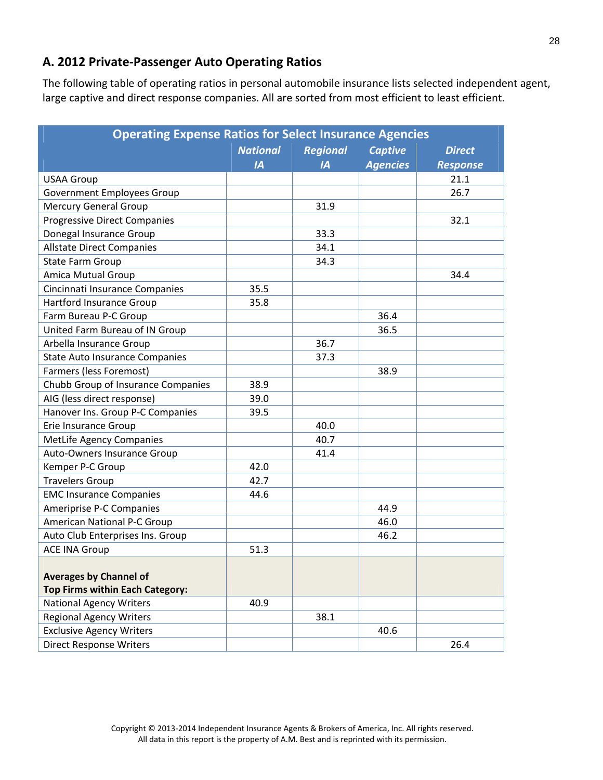## **A. 2012 Private‐Passenger Auto Operating Ratios**

The following table of operating ratios in personal automobile insurance lists selected independent agent, large captive and direct response companies. All are sorted from most efficient to least efficient.

| <b>Operating Expense Ratios for Select Insurance Agencies</b> |                 |                |                 |                 |
|---------------------------------------------------------------|-----------------|----------------|-----------------|-----------------|
|                                                               | <b>Regional</b> | <b>Captive</b> | <b>Direct</b>   |                 |
|                                                               | IA              | IA             | <b>Agencies</b> | <b>Response</b> |
| <b>USAA Group</b>                                             |                 |                |                 | 21.1            |
| Government Employees Group                                    |                 |                |                 | 26.7            |
| <b>Mercury General Group</b>                                  |                 | 31.9           |                 |                 |
| <b>Progressive Direct Companies</b>                           |                 |                |                 | 32.1            |
| Donegal Insurance Group                                       |                 | 33.3           |                 |                 |
| <b>Allstate Direct Companies</b>                              |                 | 34.1           |                 |                 |
| <b>State Farm Group</b>                                       |                 | 34.3           |                 |                 |
| <b>Amica Mutual Group</b>                                     |                 |                |                 | 34.4            |
| Cincinnati Insurance Companies                                | 35.5            |                |                 |                 |
| <b>Hartford Insurance Group</b>                               | 35.8            |                |                 |                 |
| Farm Bureau P-C Group                                         |                 |                | 36.4            |                 |
| United Farm Bureau of IN Group                                |                 |                | 36.5            |                 |
| Arbella Insurance Group                                       |                 | 36.7           |                 |                 |
| <b>State Auto Insurance Companies</b>                         |                 | 37.3           |                 |                 |
| Farmers (less Foremost)                                       |                 |                | 38.9            |                 |
| Chubb Group of Insurance Companies                            | 38.9            |                |                 |                 |
| AIG (less direct response)                                    | 39.0            |                |                 |                 |
| Hanover Ins. Group P-C Companies                              | 39.5            |                |                 |                 |
| Erie Insurance Group                                          |                 | 40.0           |                 |                 |
| <b>MetLife Agency Companies</b>                               |                 | 40.7           |                 |                 |
| Auto-Owners Insurance Group                                   |                 | 41.4           |                 |                 |
| Kemper P-C Group                                              | 42.0            |                |                 |                 |
| <b>Travelers Group</b>                                        | 42.7            |                |                 |                 |
| <b>EMC Insurance Companies</b>                                | 44.6            |                |                 |                 |
| Ameriprise P-C Companies                                      |                 |                | 44.9            |                 |
| <b>American National P-C Group</b>                            |                 |                | 46.0            |                 |
| Auto Club Enterprises Ins. Group                              |                 |                | 46.2            |                 |
| <b>ACE INA Group</b>                                          | 51.3            |                |                 |                 |
|                                                               |                 |                |                 |                 |
| <b>Averages by Channel of</b>                                 |                 |                |                 |                 |
| <b>Top Firms within Each Category:</b>                        |                 |                |                 |                 |
| <b>National Agency Writers</b>                                | 40.9            |                |                 |                 |
| <b>Regional Agency Writers</b>                                |                 | 38.1           |                 |                 |
| <b>Exclusive Agency Writers</b>                               |                 |                | 40.6            |                 |
| <b>Direct Response Writers</b>                                |                 |                |                 | 26.4            |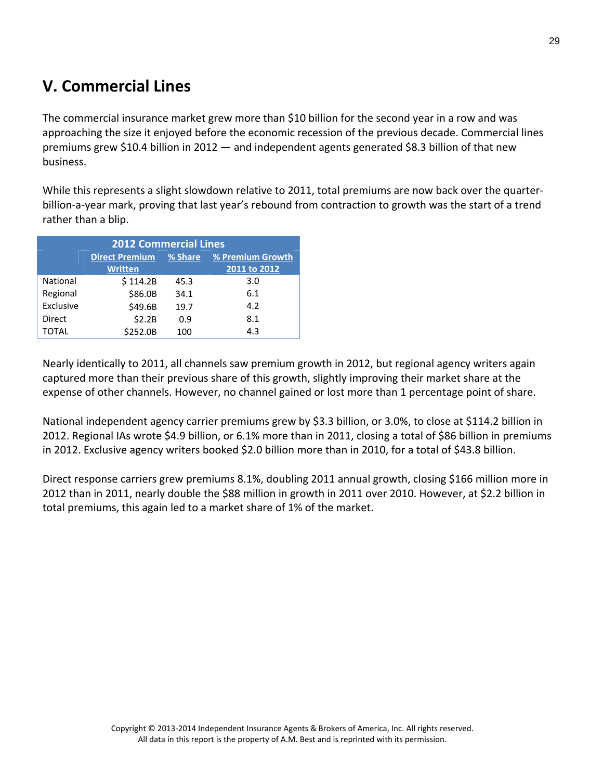# **V. Commercial Lines**

The commercial insurance market grew more than \$10 billion for the second year in a row and was approaching the size it enjoyed before the economic recession of the previous decade. Commercial lines premiums grew \$10.4 billion in 2012 — and independent agents generated \$8.3 billion of that new business.

While this represents a slight slowdown relative to 2011, total premiums are now back over the quarter‐ billion-a-year mark, proving that last year's rebound from contraction to growth was the start of a trend rather than a blip.

| <b>2012 Commercial Lines</b> |                                                      |      |              |  |
|------------------------------|------------------------------------------------------|------|--------------|--|
|                              | % Share<br><b>Direct Premium</b><br>% Premium Growth |      |              |  |
|                              | <b>Written</b>                                       |      | 2011 to 2012 |  |
| National                     | \$114.2B                                             | 45.3 | 3.0          |  |
| Regional                     | \$86.0B                                              | 34.1 | 6.1          |  |
| Exclusive                    | \$49.6B                                              | 19.7 | 4.2          |  |
| Direct                       | \$2.2B                                               | 0.9  | 8.1          |  |
| TOTAL                        | \$252.0B                                             | 100  | 4.3          |  |

Nearly identically to 2011, all channels saw premium growth in 2012, but regional agency writers again captured more than their previous share of this growth, slightly improving their market share at the expense of other channels. However, no channel gained or lost more than 1 percentage point of share.

National independent agency carrier premiums grew by \$3.3 billion, or 3.0%, to close at \$114.2 billion in 2012. Regional IAs wrote \$4.9 billion, or 6.1% more than in 2011, closing a total of \$86 billion in premiums in 2012. Exclusive agency writers booked \$2.0 billion more than in 2010, for a total of \$43.8 billion.

Direct response carriers grew premiums 8.1%, doubling 2011 annual growth, closing \$166 million more in 2012 than in 2011, nearly double the \$88 million in growth in 2011 over 2010. However, at \$2.2 billion in total premiums, this again led to a market share of 1% of the market.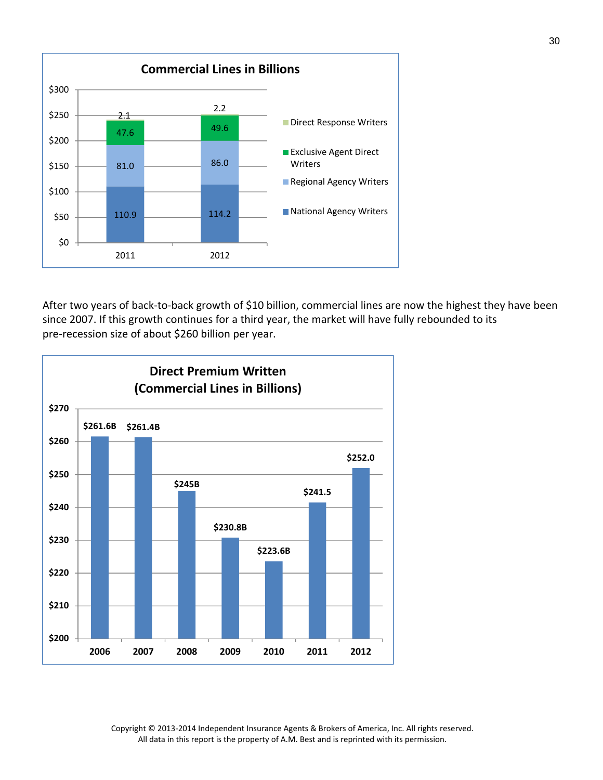

After two years of back-to-back growth of \$10 billion, commercial lines are now the highest they have been since 2007. If this growth continues for a third year, the market will have fully rebounded to its pre‐recession size of about \$260 billion per year.



Copyright © 2013‐2014 Independent Insurance Agents & Brokers of America, Inc. All rights reserved. All data in this report is the property of A.M. Best and is reprinted with its permission.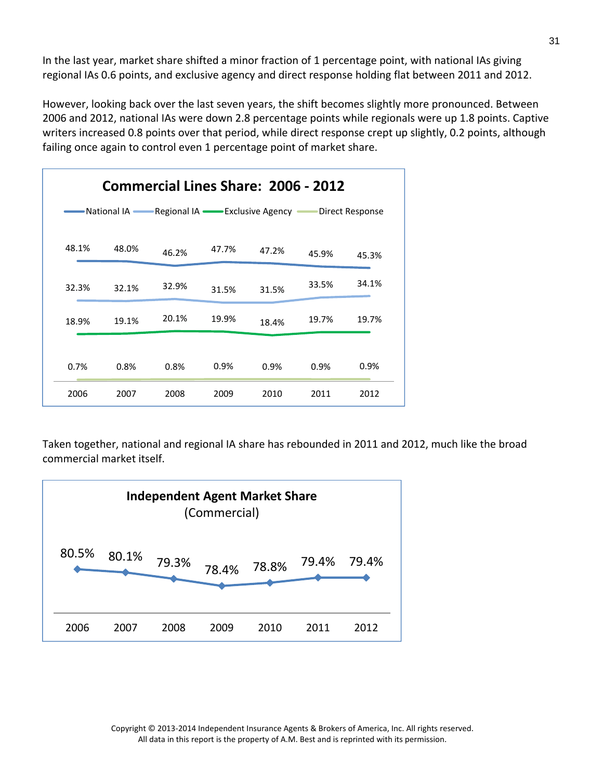In the last year, market share shifted a minor fraction of 1 percentage point, with national IAs giving regional IAs 0.6 points, and exclusive agency and direct response holding flat between 2011 and 2012.

However, looking back over the last seven years, the shift becomes slightly more pronounced. Between 2006 and 2012, national IAs were down 2.8 percentage points while regionals were up 1.8 points. Captive writers increased 0.8 points over that period, while direct response crept up slightly, 0.2 points, although failing once again to control even 1 percentage point of market share.

| <b>Commercial Lines Share: 2006 - 2012</b> |                                                                |       |       |       |       |       |
|--------------------------------------------|----------------------------------------------------------------|-------|-------|-------|-------|-------|
|                                            | National IA — Regional IA — Exclusive Agency — Direct Response |       |       |       |       |       |
| 48.1%                                      | 48.0%                                                          | 46.2% | 47.7% | 47.2% | 45.9% | 45.3% |
| 32.3%                                      | 32.1%                                                          | 32.9% | 31.5% | 31.5% | 33.5% | 34.1% |
| 18.9%                                      | 19.1%                                                          | 20.1% | 19.9% | 18.4% | 19.7% | 19.7% |
| 0.7%                                       | 0.8%                                                           | 0.8%  | 0.9%  | 0.9%  | 0.9%  | 0.9%  |
| 2006                                       | 2007                                                           | 2008  | 2009  | 2010  | 2011  | 2012  |

Taken together, national and regional IA share has rebounded in 2011 and 2012, much like the broad commercial market itself.

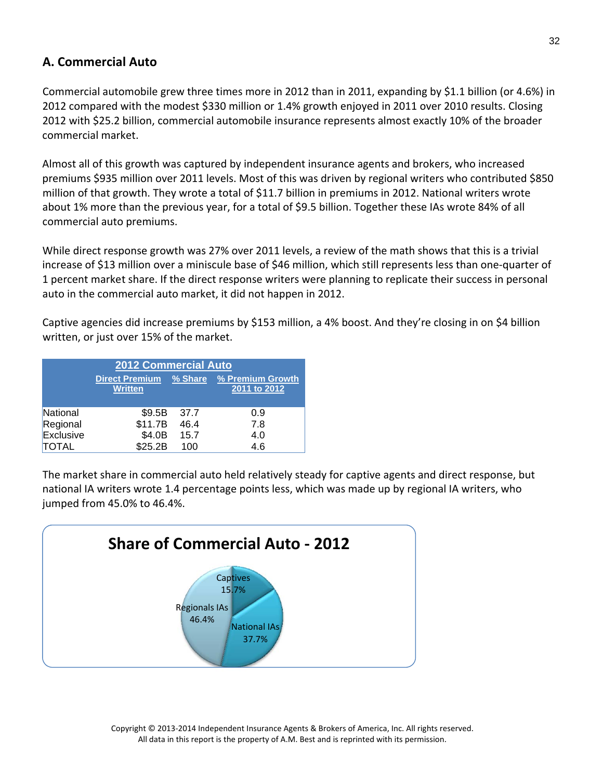### **A. Commercial Auto**

Commercial automobile grew three times more in 2012 than in 2011, expanding by \$1.1 billion (or 4.6%) in 2012 compared with the modest \$330 million or 1.4% growth enjoyed in 2011 over 2010 results. Closing 2012 with \$25.2 billion, commercial automobile insurance represents almost exactly 10% of the broader commercial market.

Almost all of this growth was captured by independent insurance agents and brokers, who increased premiums \$935 million over 2011 levels. Most of this was driven by regional writers who contributed \$850 million of that growth. They wrote a total of \$11.7 billion in premiums in 2012. National writers wrote about 1% more than the previous year, for a total of \$9.5 billion. Together these IAs wrote 84% of all commercial auto premiums.

While direct response growth was 27% over 2011 levels, a review of the math shows that this is a trivial increase of \$13 million over a miniscule base of \$46 million, which still represents less than one‐quarter of 1 percent market share. If the direct response writers were planning to replicate their success in personal auto in the commercial auto market, it did not happen in 2012.

Captive agencies did increase premiums by \$153 million, a 4% boost. And they're closing in on \$4 billion written, or just over 15% of the market.

| <b>2012 Commercial Auto</b> |                                         |      |                                          |  |
|-----------------------------|-----------------------------------------|------|------------------------------------------|--|
|                             | <b>Direct Premium</b><br><b>Written</b> |      | % Share % Premium Growth<br>2011 to 2012 |  |
| National                    | \$9.5B                                  | 37.7 | 0.9                                      |  |
| Regional                    | \$11.7B                                 | 46.4 | 7.8                                      |  |
| Exclusive                   | \$4.0B                                  | 15.7 | 4.0                                      |  |
| TOTAL                       | \$25.2B                                 | 100  | 4.6                                      |  |

The market share in commercial auto held relatively steady for captive agents and direct response, but national IA writers wrote 1.4 percentage points less, which was made up by regional IA writers, who jumped from 45.0% to 46.4%.

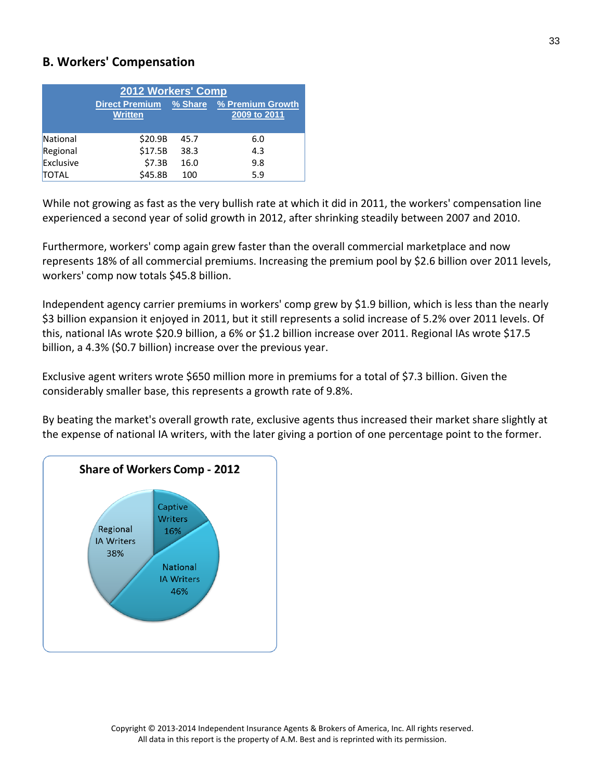#### **B. Workers' Compensation**

| 2012 Workers' Comp |                                         |      |                                          |  |
|--------------------|-----------------------------------------|------|------------------------------------------|--|
|                    | <b>Direct Premium</b><br><b>Written</b> |      | % Share % Premium Growth<br>2009 to 2011 |  |
| National           | \$20.9B                                 | 45.7 | 6.0                                      |  |
| Regional           | \$17.5B                                 | 38.3 | 4.3                                      |  |
| Exclusive          | \$7.3B                                  | 16.0 | 9.8                                      |  |
| <b>TOTAL</b>       | \$45.8B                                 | 100  | 5.9                                      |  |

While not growing as fast as the very bullish rate at which it did in 2011, the workers' compensation line experienced a second year of solid growth in 2012, after shrinking steadily between 2007 and 2010.

Furthermore, workers' comp again grew faster than the overall commercial marketplace and now represents 18% of all commercial premiums. Increasing the premium pool by \$2.6 billion over 2011 levels, workers' comp now totals \$45.8 billion.

Independent agency carrier premiums in workers' comp grew by \$1.9 billion, which is less than the nearly \$3 billion expansion it enjoyed in 2011, but it still represents a solid increase of 5.2% over 2011 levels. Of this, national IAs wrote \$20.9 billion, a 6% or \$1.2 billion increase over 2011. Regional IAs wrote \$17.5 billion, a 4.3% (\$0.7 billion) increase over the previous year.

Exclusive agent writers wrote \$650 million more in premiums for a total of \$7.3 billion. Given the considerably smaller base, this represents a growth rate of 9.8%.

By beating the market's overall growth rate, exclusive agents thus increased their market share slightly at the expense of national IA writers, with the later giving a portion of one percentage point to the former.

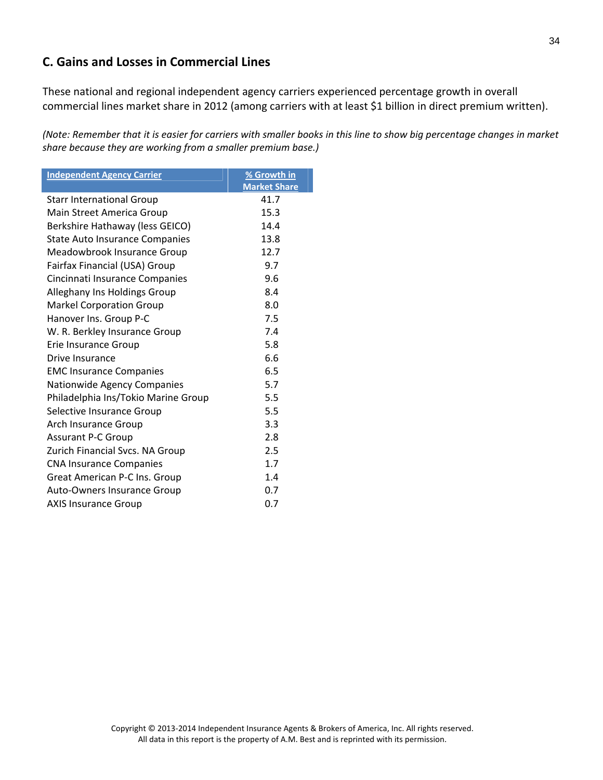### **C. Gains and Losses in Commercial Lines**

These national and regional independent agency carriers experienced percentage growth in overall commercial lines market share in 2012 (among carriers with at least \$1 billion in direct premium written).

(Note: Remember that it is easier for carriers with smaller books in this line to show big percentage changes in market *share because they are working from a smaller premium base.)*

| <b>Independent Agency Carrier</b>     | % Growth in         |
|---------------------------------------|---------------------|
|                                       | <b>Market Share</b> |
| <b>Starr International Group</b>      | 41.7                |
| Main Street America Group             | 15.3                |
| Berkshire Hathaway (less GEICO)       | 14.4                |
| <b>State Auto Insurance Companies</b> | 13.8                |
| Meadowbrook Insurance Group           | 12.7                |
| Fairfax Financial (USA) Group         | 9.7                 |
| Cincinnati Insurance Companies        | 9.6                 |
| Alleghany Ins Holdings Group          | 8.4                 |
| <b>Markel Corporation Group</b>       | 8.0                 |
| Hanover Ins. Group P-C                | 7.5                 |
| W. R. Berkley Insurance Group         | 7.4                 |
| Erie Insurance Group                  | 5.8                 |
| Drive Insurance                       | 6.6                 |
| <b>EMC Insurance Companies</b>        | 6.5                 |
| Nationwide Agency Companies           | 5.7                 |
| Philadelphia Ins/Tokio Marine Group   | 5.5                 |
| Selective Insurance Group             | 5.5                 |
| Arch Insurance Group                  | 3.3                 |
| <b>Assurant P-C Group</b>             | 2.8                 |
| Zurich Financial Svcs. NA Group       | 2.5                 |
| <b>CNA Insurance Companies</b>        | 1.7                 |
| Great American P-C Ins. Group         | 1.4                 |
| Auto-Owners Insurance Group           | 0.7                 |
| <b>AXIS Insurance Group</b>           | 0.7                 |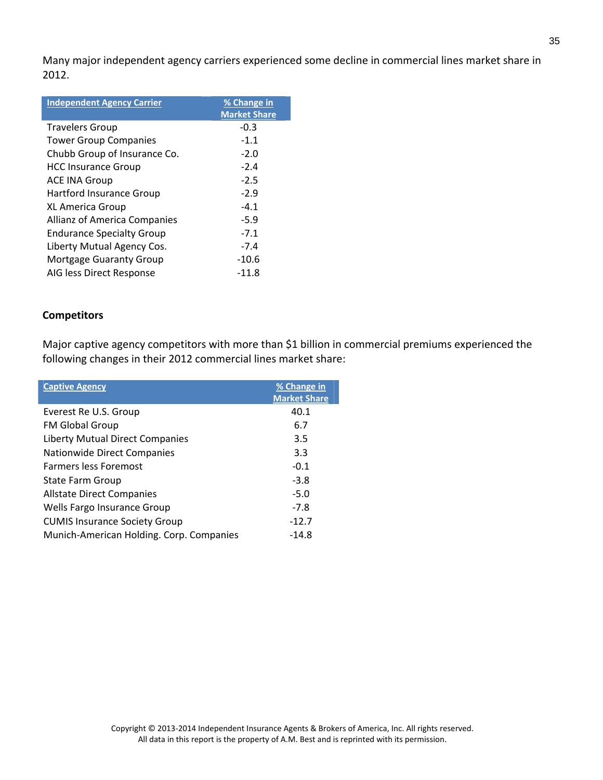Many major independent agency carriers experienced some decline in commercial lines market share in 2012.

| <b>Independent Agency Carrier</b> | % Change in         |
|-----------------------------------|---------------------|
|                                   | <b>Market Share</b> |
| <b>Travelers Group</b>            | $-0.3$              |
| <b>Tower Group Companies</b>      | $-1.1$              |
| Chubb Group of Insurance Co.      | $-2.0$              |
| <b>HCC Insurance Group</b>        | $-2.4$              |
| <b>ACE INA Group</b>              | $-2.5$              |
| Hartford Insurance Group          | $-2.9$              |
| <b>XL America Group</b>           | $-4.1$              |
| Allianz of America Companies      | $-5.9$              |
| <b>Endurance Specialty Group</b>  | $-7.1$              |
| Liberty Mutual Agency Cos.        | $-7.4$              |
| <b>Mortgage Guaranty Group</b>    | $-10.6$             |
| AIG less Direct Response          | -11.8               |

#### **Competitors**

Major captive agency competitors with more than \$1 billion in commercial premiums experienced the following changes in their 2012 commercial lines market share:

| <b>Captive Agency</b>                    | % Change in<br><b>Market Share</b> |
|------------------------------------------|------------------------------------|
| Everest Re U.S. Group                    | 40.1                               |
| <b>FM Global Group</b>                   | 6.7                                |
| <b>Liberty Mutual Direct Companies</b>   | 3.5                                |
| <b>Nationwide Direct Companies</b>       | 3.3                                |
| <b>Farmers less Foremost</b>             | $-0.1$                             |
| <b>State Farm Group</b>                  | $-3.8$                             |
| <b>Allstate Direct Companies</b>         | $-5.0$                             |
| Wells Fargo Insurance Group              | $-7.8$                             |
| <b>CUMIS Insurance Society Group</b>     | $-12.7$                            |
| Munich-American Holding. Corp. Companies | $-14.8$                            |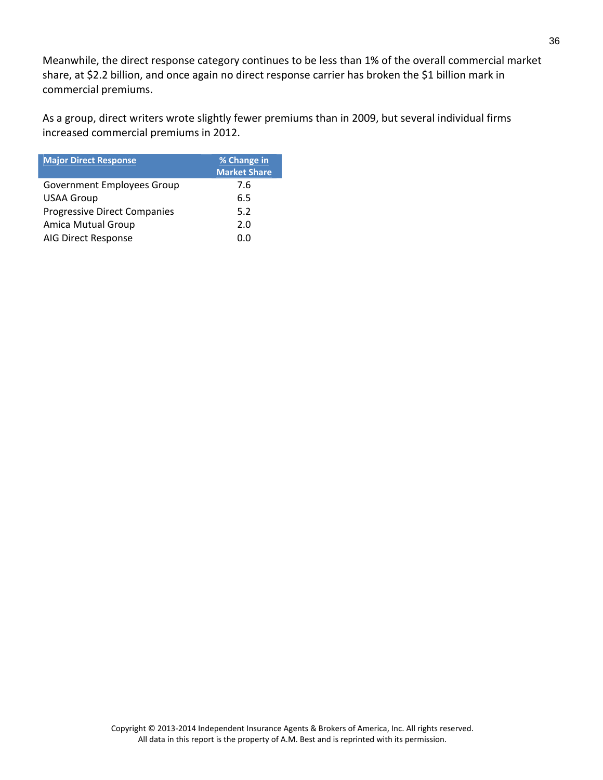Meanwhile, the direct response category continues to be less than 1% of the overall commercial market share, at \$2.2 billion, and once again no direct response carrier has broken the \$1 billion mark in commercial premiums.

As a group, direct writers wrote slightly fewer premiums than in 2009, but several individual firms increased commercial premiums in 2012.

| <b>Major Direct Response</b>        | % Change in<br><b>Market Share</b> |
|-------------------------------------|------------------------------------|
| <b>Government Employees Group</b>   | 7.6                                |
| <b>USAA Group</b>                   | 6.5                                |
| <b>Progressive Direct Companies</b> | 5.2                                |
| <b>Amica Mutual Group</b>           | 2.0                                |
| AIG Direct Response                 | n n                                |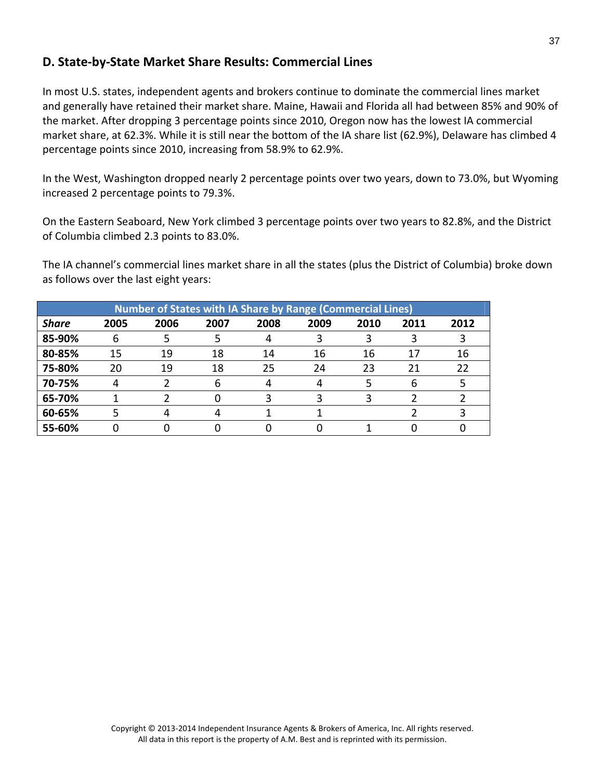### **D. State‐by‐State Market Share Results: Commercial Lines**

In most U.S. states, independent agents and brokers continue to dominate the commercial lines market and generally have retained their market share. Maine, Hawaii and Florida all had between 85% and 90% of the market. After dropping 3 percentage points since 2010, Oregon now has the lowest IA commercial market share, at 62.3%. While it is still near the bottom of the IA share list (62.9%), Delaware has climbed 4 percentage points since 2010, increasing from 58.9% to 62.9%.

In the West, Washington dropped nearly 2 percentage points over two years, down to 73.0%, but Wyoming increased 2 percentage points to 79.3%.

On the Eastern Seaboard, New York climbed 3 percentage points over two years to 82.8%, and the District of Columbia climbed 2.3 points to 83.0%.

The IA channel's commercial lines market share in all the states (plus the District of Columbia) broke down as follows over the last eight years:

| <b>Number of States with IA Share by Range (Commercial Lines)</b> |      |      |      |      |      |      |      |      |
|-------------------------------------------------------------------|------|------|------|------|------|------|------|------|
| <b>Share</b>                                                      | 2005 | 2006 | 2007 | 2008 | 2009 | 2010 | 2011 | 2012 |
| 85-90%                                                            | b    |      |      |      |      |      |      |      |
| 80-85%                                                            | 15   | 19   | 18   | 14   | 16   | 16   | 17   | 16   |
| 75-80%                                                            | 20   | 19   | 18   | 25   | 24   | 23   | 21   | 22   |
| 70-75%                                                            |      |      | 6    |      | 4    |      |      |      |
| 65-70%                                                            |      |      |      |      |      |      |      |      |
| 60-65%                                                            |      |      |      |      |      |      |      |      |
| 55-60%                                                            |      |      |      |      |      |      |      |      |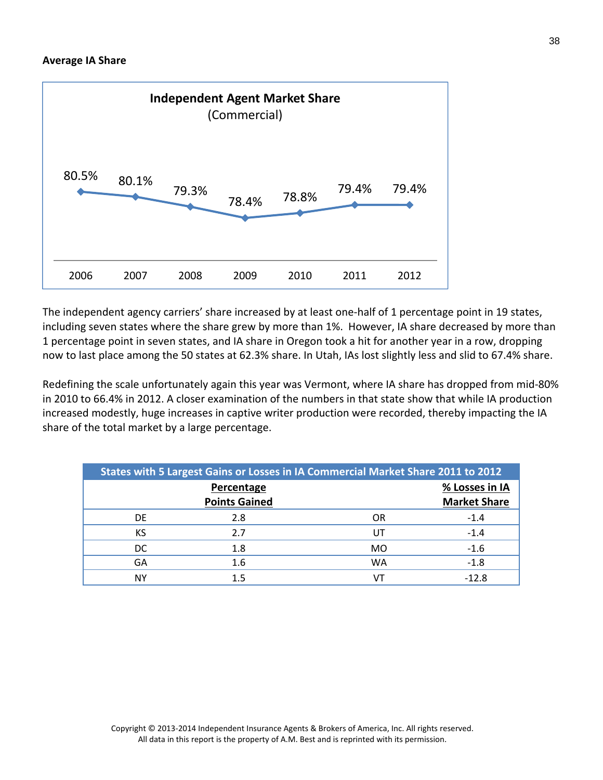

The independent agency carriers' share increased by at least one‐half of 1 percentage point in 19 states, including seven states where the share grew by more than 1%. However, IA share decreased by more than 1 percentage point in seven states, and IA share in Oregon took a hit for another year in a row, dropping now to last place among the 50 states at 62.3% share. In Utah, IAs lost slightly less and slid to 67.4% share.

Redefining the scale unfortunately again this year was Vermont, where IA share has dropped from mid‐80% in 2010 to 66.4% in 2012. A closer examination of the numbers in that state show that while IA production increased modestly, huge increases in captive writer production were recorded, thereby impacting the IA share of the total market by a large percentage.

| States with 5 Largest Gains or Losses in IA Commercial Market Share 2011 to 2012 |                                    |    |                                       |  |  |  |  |
|----------------------------------------------------------------------------------|------------------------------------|----|---------------------------------------|--|--|--|--|
|                                                                                  | Percentage<br><b>Points Gained</b> |    | % Losses in IA<br><b>Market Share</b> |  |  |  |  |
| DE.                                                                              | 2.8                                | OR | $-1.4$                                |  |  |  |  |
| KS                                                                               | 2.7                                | UT | $-1.4$                                |  |  |  |  |
| DC                                                                               | 1.8                                | MO | $-1.6$                                |  |  |  |  |
| GA                                                                               | 1.6                                | WA | $-1.8$                                |  |  |  |  |
| NΥ                                                                               | 1.5                                | VT | $-12.8$                               |  |  |  |  |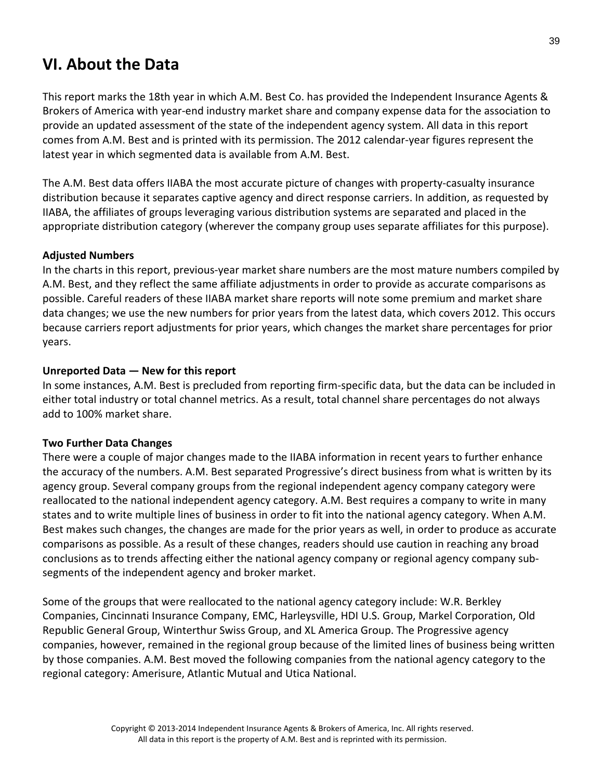# **VI. About the Data**

This report marks the 18th year in which A.M. Best Co. has provided the Independent Insurance Agents & Brokers of America with year‐end industry market share and company expense data for the association to provide an updated assessment of the state of the independent agency system. All data in this report comes from A.M. Best and is printed with its permission. The 2012 calendar‐year figures represent the latest year in which segmented data is available from A.M. Best.

The A.M. Best data offers IIABA the most accurate picture of changes with property‐casualty insurance distribution because it separates captive agency and direct response carriers. In addition, as requested by IIABA, the affiliates of groups leveraging various distribution systems are separated and placed in the appropriate distribution category (wherever the company group uses separate affiliates for this purpose).

#### **Adjusted Numbers**

In the charts in this report, previous-year market share numbers are the most mature numbers compiled by A.M. Best, and they reflect the same affiliate adjustments in order to provide as accurate comparisons as possible. Careful readers of these IIABA market share reports will note some premium and market share data changes; we use the new numbers for prior years from the latest data, which covers 2012. This occurs because carriers report adjustments for prior years, which changes the market share percentages for prior years.

#### **Unreported Data — New for this report**

In some instances, A.M. Best is precluded from reporting firm‐specific data, but the data can be included in either total industry or total channel metrics. As a result, total channel share percentages do not always add to 100% market share.

#### **Two Further Data Changes**

There were a couple of major changes made to the IIABA information in recent years to further enhance the accuracy of the numbers. A.M. Best separated Progressive's direct business from what is written by its agency group. Several company groups from the regional independent agency company category were reallocated to the national independent agency category. A.M. Best requires a company to write in many states and to write multiple lines of business in order to fit into the national agency category. When A.M. Best makes such changes, the changes are made for the prior years as well, in order to produce as accurate comparisons as possible. As a result of these changes, readers should use caution in reaching any broad conclusions as to trends affecting either the national agency company or regional agency company sub‐ segments of the independent agency and broker market.

Some of the groups that were reallocated to the national agency category include: W.R. Berkley Companies, Cincinnati Insurance Company, EMC, Harleysville, HDI U.S. Group, Markel Corporation, Old Republic General Group, Winterthur Swiss Group, and XL America Group. The Progressive agency companies, however, remained in the regional group because of the limited lines of business being written by those companies. A.M. Best moved the following companies from the national agency category to the regional category: Amerisure, Atlantic Mutual and Utica National.